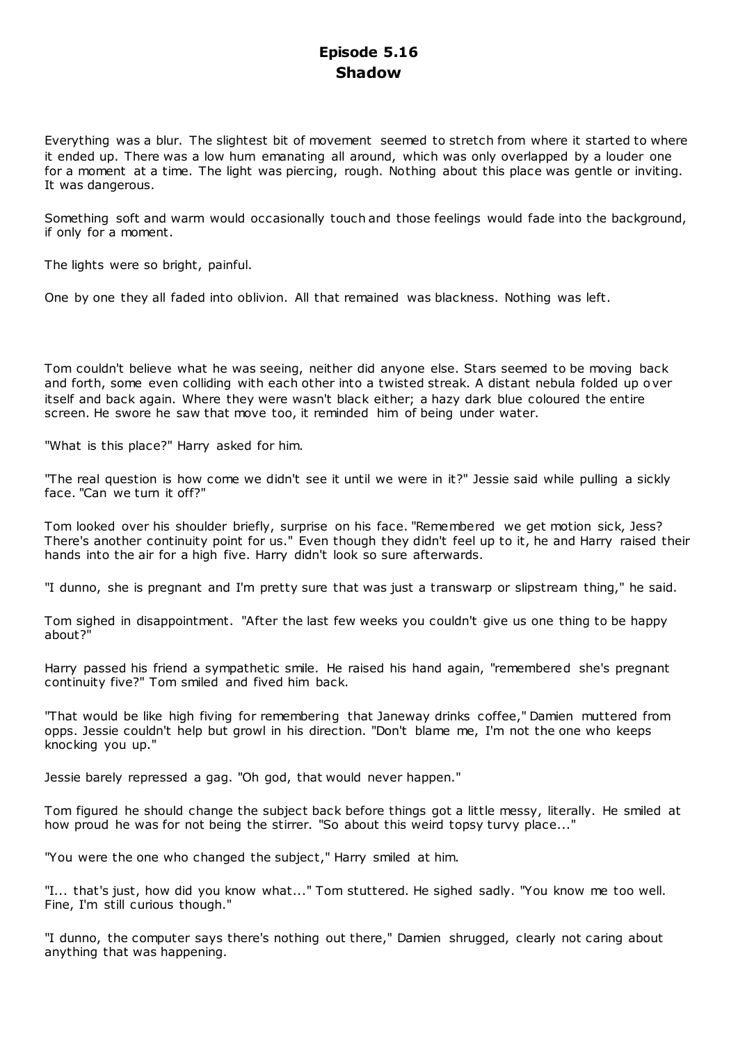# **Episode 5.16 Shadow**

Everything was a blur. The slightest bit of movement seemed to stretch from where it started to where it ended up. There was a low hum emanating all around, which was only overlapped by a louder one for a moment at a time. The light was piercing, rough. Nothing about this place was gentle or inviting. It was dangerous.

Something soft and warm would occasionally touch and those feelings would fade into the background, if only for a moment.

The lights were so bright, painful.

One by one they all faded into oblivion. All that remained was blackness. Nothing was left.

Tom couldn't believe what he was seeing, neither did anyone else. Stars seemed to be moving back and forth, some even colliding with each other into a twisted streak. A distant nebula folded up over itself and back again. Where they were wasn't black either; a hazy dark blue coloured the entire screen. He swore he saw that move too, it reminded him of being under water.

"What is this place?" Harry asked for him.

"The real question is how come we didn't see it until we were in it?" Jessie said while pulling a sickly face. "Can we turn it off?"

Tom looked over his shoulder briefly, surprise on his face. "Remembered we get motion sick, Jess? There's another continuity point for us." Even though they didn't feel up to it, he and Harry raised their hands into the air for a high five. Harry didn't look so sure afterwards.

"I dunno, she is pregnant and I'm pretty sure that was just a transwarp or slipstream thing," he said.

Tom sighed in disappointment. "After the last few weeks you couldn't give us one thing to be happy about?"

Harry passed his friend a sympathetic smile. He raised his hand again, "remembered she's pregnant continuity five?" Tom smiled and fived him back.

"That would be like high fiving for remembering that Janeway drinks coffee," Damien muttered from opps. Jessie couldn't help but growl in his direction. "Don't blame me, I'm not the one who keeps knocking you up."

Jessie barely repressed a gag. "Oh god, that would never happen."

Tom figured he should change the subject back before things got a little messy, literally. He smiled at how proud he was for not being the stirrer. "So about this weird topsy turvy place..."

"You were the one who changed the subject," Harry smiled at him.

"I... that's just, how did you know what..." Tom stuttered. He sighed sadly. "You know me too well. Fine, I'm still curious though."

"I dunno, the computer says there's nothing out there," Damien shrugged, clearly not caring about anything that was happening.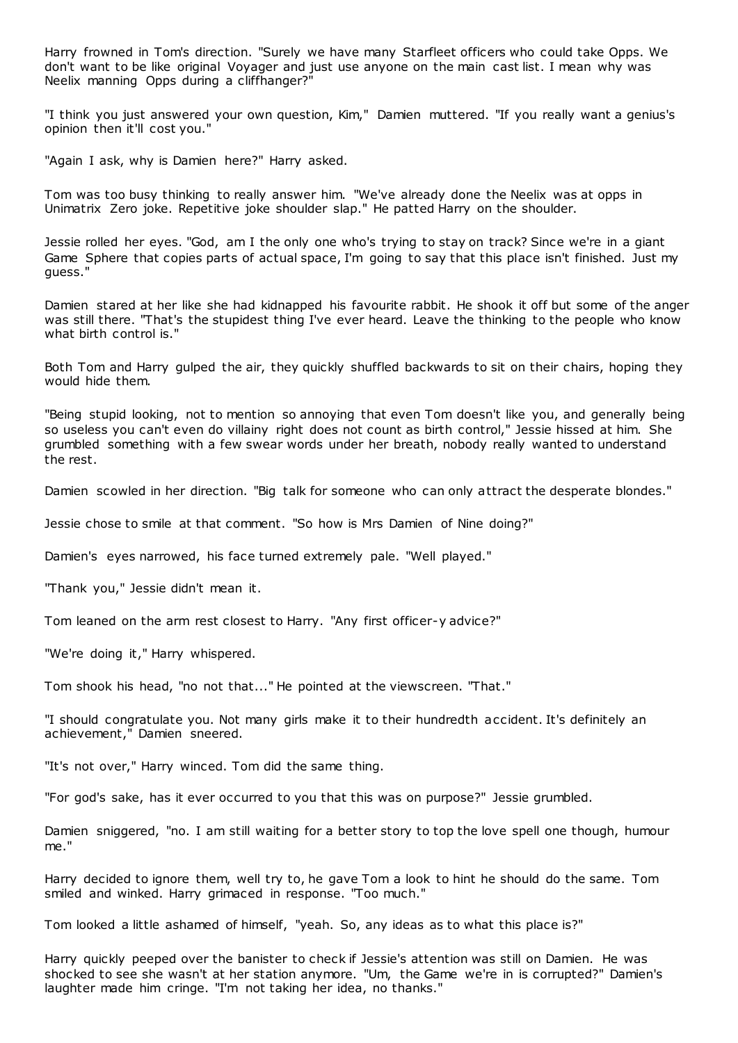Harry frowned in Tom's direction. "Surely we have many Starfleet officers who could take Opps. We don't want to be like original Voyager and just use anyone on the main cast list. I mean why was Neelix manning Opps during a cliffhanger?"

"I think you just answered your own question, Kim," Damien muttered. "If you really want a genius's opinion then it'll cost you."

"Again I ask, why is Damien here?" Harry asked.

Tom was too busy thinking to really answer him. "We've already done the Neelix was at opps in Unimatrix Zero joke. Repetitive joke shoulder slap." He patted Harry on the shoulder.

Jessie rolled her eyes. "God, am I the only one who's trying to stay on track? Since we're in a giant Game Sphere that copies parts of actual space, I'm going to say that this place isn't finished. Just my guess."

Damien stared at her like she had kidnapped his favourite rabbit. He shook it off but some of the anger was still there. "That's the stupidest thing I've ever heard. Leave the thinking to the people who know what birth control is."

Both Tom and Harry gulped the air, they quickly shuffled backwards to sit on their chairs, hoping they would hide them.

"Being stupid looking, not to mention so annoying that even Tom doesn't like you, and generally being so useless you can't even do villainy right does not count as birth control," Jessie hissed at him. She grumbled something with a few swear words under her breath, nobody really wanted to understand the rest.

Damien scowled in her direction. "Big talk for someone who can only attract the desperate blondes."

Jessie chose to smile at that comment. "So how is Mrs Damien of Nine doing?"

Damien's eyes narrowed, his face turned extremely pale. "Well played."

"Thank you," Jessie didn't mean it.

Tom leaned on the arm rest closest to Harry. "Any first officer-y advice?"

"We're doing it," Harry whispered.

Tom shook his head, "no not that..." He pointed at the viewscreen. "That."

"I should congratulate you. Not many girls make it to their hundredth accident. It's definitely an achievement," Damien sneered.

"It's not over," Harry winced. Tom did the same thing.

"For god's sake, has it ever occurred to you that this was on purpose?" Jessie grumbled.

Damien sniggered, "no. I am still waiting for a better story to top the love spell one though, humour me."

Harry decided to ignore them, well try to, he gave Tom a look to hint he should do the same. Tom smiled and winked. Harry grimaced in response. "Too much."

Tom looked a little ashamed of himself, "yeah. So, any ideas as to what this place is?"

Harry quickly peeped over the banister to check if Jessie's attention was still on Damien. He was shocked to see she wasn't at her station anymore. "Um, the Game we're in is corrupted?" Damien's laughter made him cringe. "I'm not taking her idea, no thanks."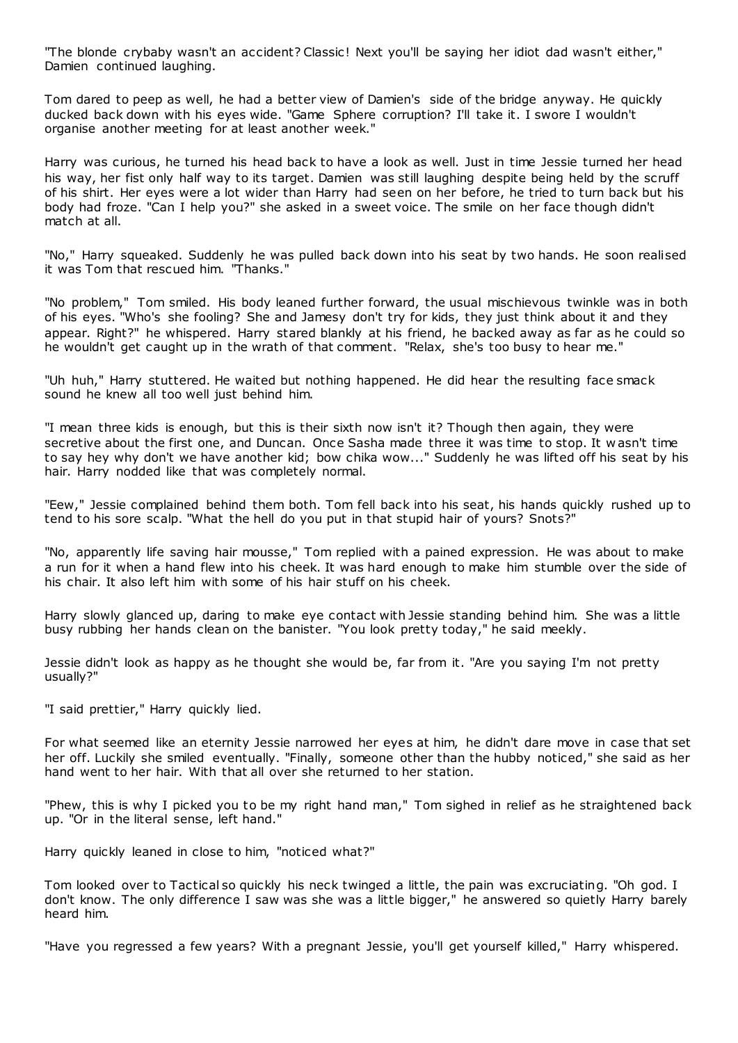"The blonde crybaby wasn't an accident? Classic! Next you'll be saying her idiot dad wasn't either," Damien continued laughing.

Tom dared to peep as well, he had a better view of Damien's side of the bridge anyway. He quickly ducked back down with his eyes wide. "Game Sphere corruption? I'll take it. I swore I wouldn't organise another meeting for at least another week."

Harry was curious, he turned his head back to have a look as well. Just in time Jessie turned her head his way, her fist only half way to its target. Damien was still laughing despite being held by the scruff of his shirt. Her eyes were a lot wider than Harry had seen on her before, he tried to turn back but his body had froze. "Can I help you?" she asked in a sweet voice. The smile on her face though didn't match at all.

"No," Harry squeaked. Suddenly he was pulled back down into his seat by two hands. He soon realised it was Tom that rescued him. "Thanks."

"No problem," Tom smiled. His body leaned further forward, the usual mischievous twinkle was in both of his eyes. "Who's she fooling? She and Jamesy don't try for kids, they just think about it and they appear. Right?" he whispered. Harry stared blankly at his friend, he backed away as far as he could so he wouldn't get caught up in the wrath of that comment. "Relax, she's too busy to hear me."

"Uh huh," Harry stuttered. He waited but nothing happened. He did hear the resulting face smack sound he knew all too well just behind him.

"I mean three kids is enough, but this is their sixth now isn't it? Though then again, they were secretive about the first one, and Duncan. Once Sasha made three it was time to stop. It w asn't time to say hey why don't we have another kid; bow chika wow..." Suddenly he was lifted off his seat by his hair. Harry nodded like that was completely normal.

"Eew," Jessie complained behind them both. Tom fell back into his seat, his hands quickly rushed up to tend to his sore scalp. "What the hell do you put in that stupid hair of yours? Snots?"

"No, apparently life saving hair mousse," Tom replied with a pained expression. He was about to make a run for it when a hand flew into his cheek. It was hard enough to make him stumble over the side of his chair. It also left him with some of his hair stuff on his cheek.

Harry slowly glanced up, daring to make eye contact with Jessie standing behind him. She was a little busy rubbing her hands clean on the banister. "You look pretty today," he said meekly.

Jessie didn't look as happy as he thought she would be, far from it. "Are you saying I'm not pretty usually?"

"I said prettier," Harry quickly lied.

For what seemed like an eternity Jessie narrowed her eyes at him, he didn't dare move in case that set her off. Luckily she smiled eventually. "Finally, someone other than the hubby noticed," she said as her hand went to her hair. With that all over she returned to her station.

"Phew, this is why I picked you to be my right hand man," Tom sighed in relief as he straightened back up. "Or in the literal sense, left hand."

Harry quickly leaned in close to him, "noticed what?"

Tom looked over to Tactical so quickly his neck twinged a little, the pain was excruciating. "Oh god. I don't know. The only difference I saw was she was a little bigger," he answered so quietly Harry barely heard him.

"Have you regressed a few years? With a pregnant Jessie, you'll get yourself killed," Harry whispered.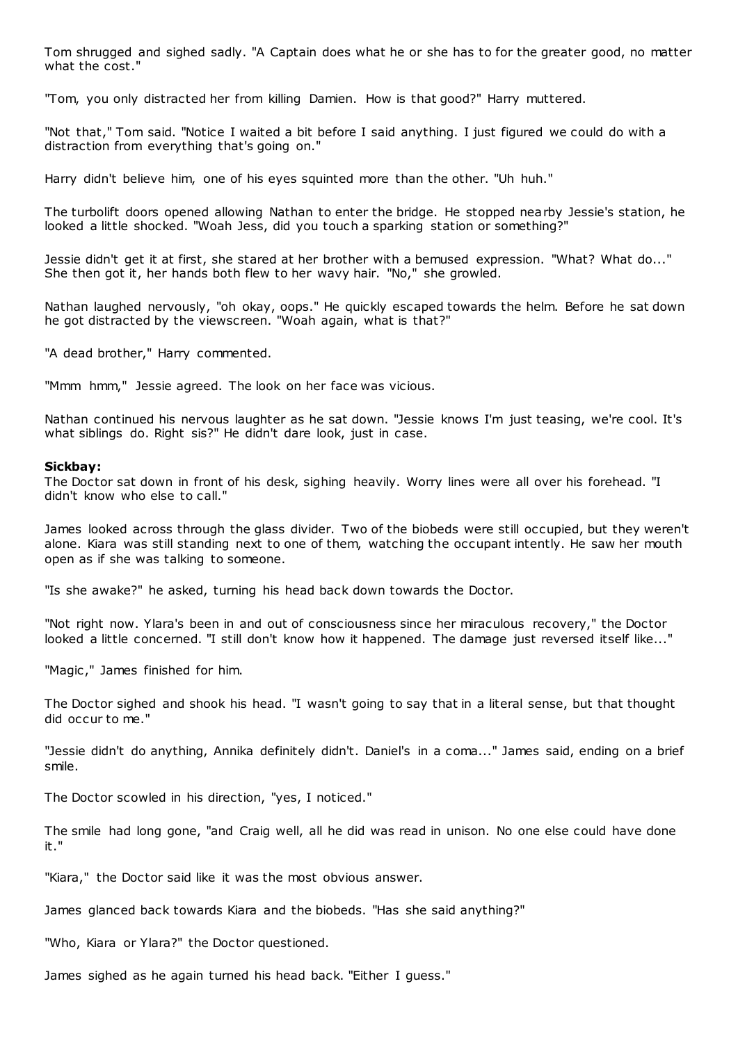Tom shrugged and sighed sadly. "A Captain does what he or she has to for the greater good, no matter what the cost."

"Tom, you only distracted her from killing Damien. How is that good?" Harry muttered.

"Not that," Tom said. "Notice I waited a bit before I said anything. I just figured we could do with a distraction from everything that's going on."

Harry didn't believe him, one of his eyes squinted more than the other. "Uh huh."

The turbolift doors opened allowing Nathan to enter the bridge. He stopped nearby Jessie's station, he looked a little shocked. "Woah Jess, did you touch a sparking station or something?"

Jessie didn't get it at first, she stared at her brother with a bemused expression. "What? What do..." She then got it, her hands both flew to her wavy hair. "No," she growled.

Nathan laughed nervously, "oh okay, oops." He quickly escaped towards the helm. Before he sat down he got distracted by the viewscreen. "Woah again, what is that?"

"A dead brother," Harry commented.

"Mmm hmm," Jessie agreed. The look on her face was vicious.

Nathan continued his nervous laughter as he sat down. "Jessie knows I'm just teasing, we're cool. It's what siblings do. Right sis?" He didn't dare look, just in case.

#### **Sickbay:**

The Doctor sat down in front of his desk, sighing heavily. Worry lines were all over his forehead. "I didn't know who else to call."

James looked across through the glass divider. Two of the biobeds were still occupied, but they weren't alone. Kiara was still standing next to one of them, watching the occupant intently. He saw her mouth open as if she was talking to someone.

"Is she awake?" he asked, turning his head back down towards the Doctor.

"Not right now. Ylara's been in and out of consciousness since her miraculous recovery," the Doctor looked a little concerned. "I still don't know how it happened. The damage just reversed itself like..."

"Magic ," James finished for him.

The Doctor sighed and shook his head. "I wasn't going to say that in a literal sense, but that thought did occur to me."

"Jessie didn't do anything, Annika definitely didn't. Daniel's in a coma..." James said, ending on a brief smile.

The Doctor scowled in his direction, "yes, I noticed."

The smile had long gone, "and Craig well, all he did was read in unison. No one else could have done it."

"Kiara," the Doctor said like it was the most obvious answer.

James glanced back towards Kiara and the biobeds. "Has she said anything?"

"Who, Kiara or Ylara?" the Doctor questioned.

James sighed as he again turned his head back. "Either I guess."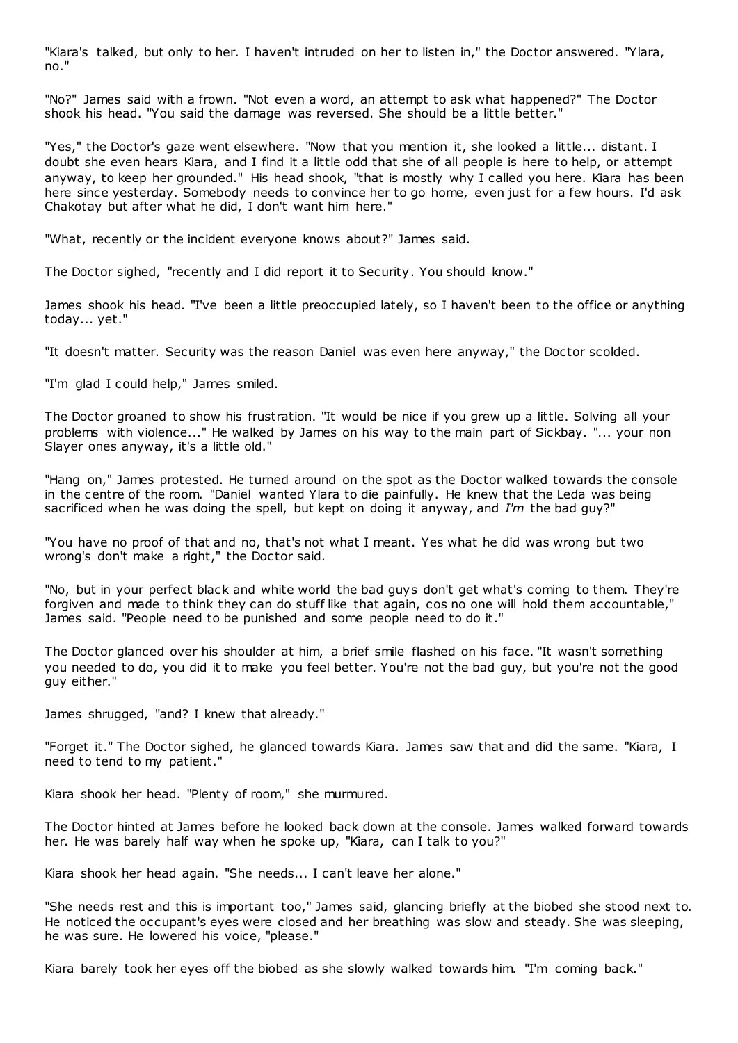"Kiara's talked, but only to her. I haven't intruded on her to listen in," the Doctor answered. "Ylara, no."

"No?" James said with a frown. "Not even a word, an attempt to ask what happened?" The Doctor shook his head. "You said the damage was reversed. She should be a little better."

"Yes," the Doctor's gaze went elsewhere. "Now that you mention it, she looked a little... distant. I doubt she even hears Kiara, and I find it a little odd that she of all people is here to help, or attempt anyway, to keep her grounded." His head shook, "that is mostly why I called you here. Kiara has been here since yesterday. Somebody needs to convince her to go home, even just for a few hours. I'd ask Chakotay but after what he did, I don't want him here."

"What, recently or the incident everyone knows about?" James said.

The Doctor sighed, "recently and I did report it to Security. You should know."

James shook his head. "I've been a little preoccupied lately, so I haven't been to the office or anything today... yet."

"It doesn't matter. Security was the reason Daniel was even here anyway," the Doctor scolded.

"I'm glad I could help," James smiled.

The Doctor groaned to show his frustration. "It would be nice if you grew up a little. Solving all your problems with violence..." He walked by James on his way to the main part of Sickbay. "... your non Slayer ones anyway, it's a little old."

"Hang on," James protested. He turned around on the spot as the Doctor walked towards the console in the centre of the room. "Daniel wanted Ylara to die painfully. He knew that the Leda was being sacrificed when he was doing the spell, but kept on doing it anyway, and *I'm* the bad guy?"

"You have no proof of that and no, that's not what I meant. Yes what he did was wrong but two wrong's don't make a right," the Doctor said.

"No, but in your perfect black and white world the bad guys don't get what's coming to them. They're forgiven and made to think they can do stuff like that again, cos no one will hold them accountable," James said. "People need to be punished and some people need to do it."

The Doctor glanced over his shoulder at him, a brief smile flashed on his face. "It wasn't something you needed to do, you did it to make you feel better. You're not the bad guy, but you're not the good guy either."

James shrugged, "and? I knew that already."

"Forget it." The Doctor sighed, he glanced towards Kiara. James saw that and did the same. "Kiara, I need to tend to my patient."

Kiara shook her head. "Plenty of room," she murmured.

The Doctor hinted at James before he looked back down at the console. James walked forward towards her. He was barely half way when he spoke up, "Kiara, can I talk to you?"

Kiara shook her head again. "She needs... I can't leave her alone."

"She needs rest and this is important too," James said, glancing briefly at the biobed she stood next to. He noticed the occupant's eyes were closed and her breathing was slow and steady. She was sleeping, he was sure. He lowered his voice, "please."

Kiara barely took her eyes off the biobed as she slowly walked towards him. "I'm coming back."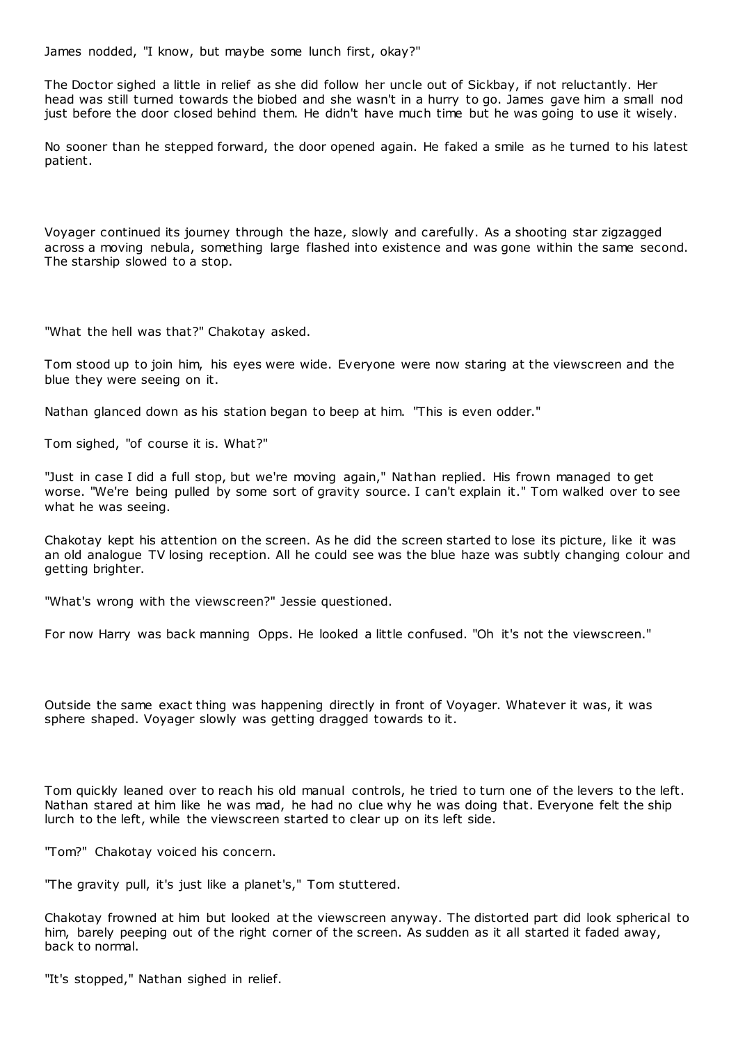James nodded, "I know, but maybe some lunch first, okay?"

The Doctor sighed a little in relief as she did follow her uncle out of Sickbay, if not reluctantly. Her head was still turned towards the biobed and she wasn't in a hurry to go. James gave him a small nod just before the door closed behind them. He didn't have much time but he was going to use it wisely.

No sooner than he stepped forward, the door opened again. He faked a smile as he turned to his latest patient.

Voyager continued its journey through the haze, slowly and carefully. As a shooting star zigzagged across a moving nebula, something large flashed into existence and was gone within the same second. The starship slowed to a stop.

"What the hell was that?" Chakotay asked.

Tom stood up to join him, his eyes were wide. Everyone were now staring at the viewscreen and the blue they were seeing on it.

Nathan glanced down as his station began to beep at him. "This is even odder."

Tom sighed, "of course it is. What?"

"Just in case I did a full stop, but we're moving again," Nathan replied. His frown managed to get worse. "We're being pulled by some sort of gravity source. I can't explain it." Tom walked over to see what he was seeing.

Chakotay kept his attention on the screen. As he did the screen started to lose its picture, like it was an old analogue TV losing reception. All he could see was the blue haze was subtly changing colour and getting brighter.

"What's wrong with the viewscreen?" Jessie questioned.

For now Harry was back manning Opps. He looked a little confused. "Oh it's not the viewscreen."

Outside the same exact thing was happening directly in front of Voyager. Whatever it was, it was sphere shaped. Voyager slowly was getting dragged towards to it.

Tom quickly leaned over to reach his old manual controls, he tried to turn one of the levers to the left. Nathan stared at him like he was mad, he had no clue why he was doing that. Everyone felt the ship lurch to the left, while the viewscreen started to clear up on its left side.

"Tom?" Chakotay voiced his concern.

"The gravity pull, it's just like a planet's," Tom stuttered.

Chakotay frowned at him but looked at the viewscreen anyway. The distorted part did look spherical to him, barely peeping out of the right corner of the screen. As sudden as it all started it faded away, back to normal.

"It's stopped," Nathan sighed in relief.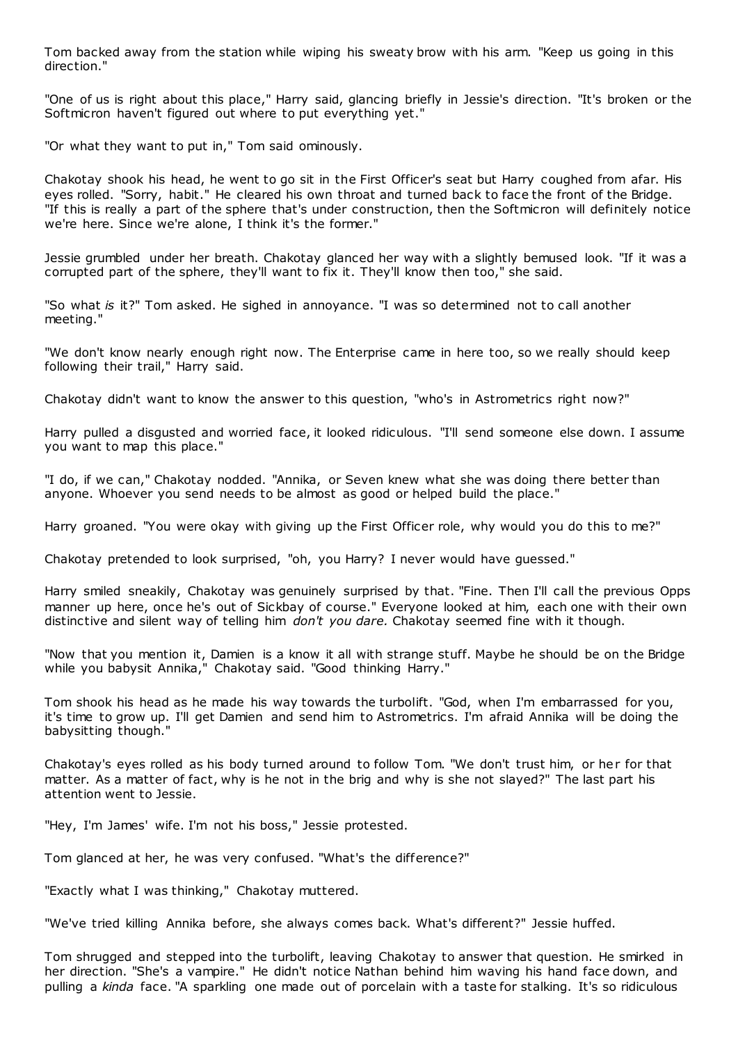Tom backed away from the station while wiping his sweaty brow with his arm. "Keep us going in this direction."

"One of us is right about this place," Harry said, glancing briefly in Jessie's direction. "It's broken or the Softmicron haven't figured out where to put everything yet."

"Or what they want to put in," Tom said ominously.

Chakotay shook his head, he went to go sit in the First Officer's seat but Harry coughed from afar. His eyes rolled. "Sorry, habit." He cleared his own throat and turned back to face the front of the Bridge. "If this is really a part of the sphere that's under construction, then the Softmicron will definitely notice we're here. Since we're alone, I think it's the former."

Jessie grumbled under her breath. Chakotay glanced her way with a slightly bemused look. "If it was a corrupted part of the sphere, they'll want to fix it. They'll know then too," she said.

"So what *is* it?" Tom asked. He sighed in annoyance. "I was so determined not to call another meeting."

"We don't know nearly enough right now. The Enterprise came in here too, so we really should keep following their trail," Harry said.

Chakotay didn't want to know the answer to this question, "who's in Astrometrics right now?"

Harry pulled a disgusted and worried face, it looked ridiculous. "I'll send someone else down. I assume you want to map this place."

"I do, if we can," Chakotay nodded. "Annika, or Seven knew what she was doing there better than anyone. Whoever you send needs to be almost as good or helped build the place."

Harry groaned. "You were okay with giving up the First Officer role, why would you do this to me?"

Chakotay pretended to look surprised, "oh, you Harry? I never would have guessed."

Harry smiled sneakily, Chakotay was genuinely surprised by that. "Fine. Then I'll call the previous Opps manner up here, once he's out of Sickbay of course." Everyone looked at him, each one with their own distinctive and silent way of telling him *don't you dare.* Chakotay seemed fine with it though.

"Now that you mention it, Damien is a know it all with strange stuff. Maybe he should be on the Bridge while you babysit Annika," Chakotay said. "Good thinking Harry."

Tom shook his head as he made his way towards the turbolift. "God, when I'm embarrassed for you, it's time to grow up. I'll get Damien and send him to Astrometrics. I'm afraid Annika will be doing the babysitting though."

Chakotay's eyes rolled as his body turned around to follow Tom. "We don't trust him, or her for that matter. As a matter of fact, why is he not in the brig and why is she not slayed?" The last part his attention went to Jessie.

"Hey, I'm James' wife. I'm not his boss," Jessie protested.

Tom glanced at her, he was very confused. "What's the difference?"

"Exactly what I was thinking," Chakotay muttered.

"We've tried killing Annika before, she always comes back. What's different?" Jessie huffed.

Tom shrugged and stepped into the turbolift, leaving Chakotay to answer that question. He smirked in her direction. "She's a vampire." He didn't notice Nathan behind him waving his hand face down, and pulling a *kinda* face. "A sparkling one made out of porcelain with a taste for stalking. It's so ridiculous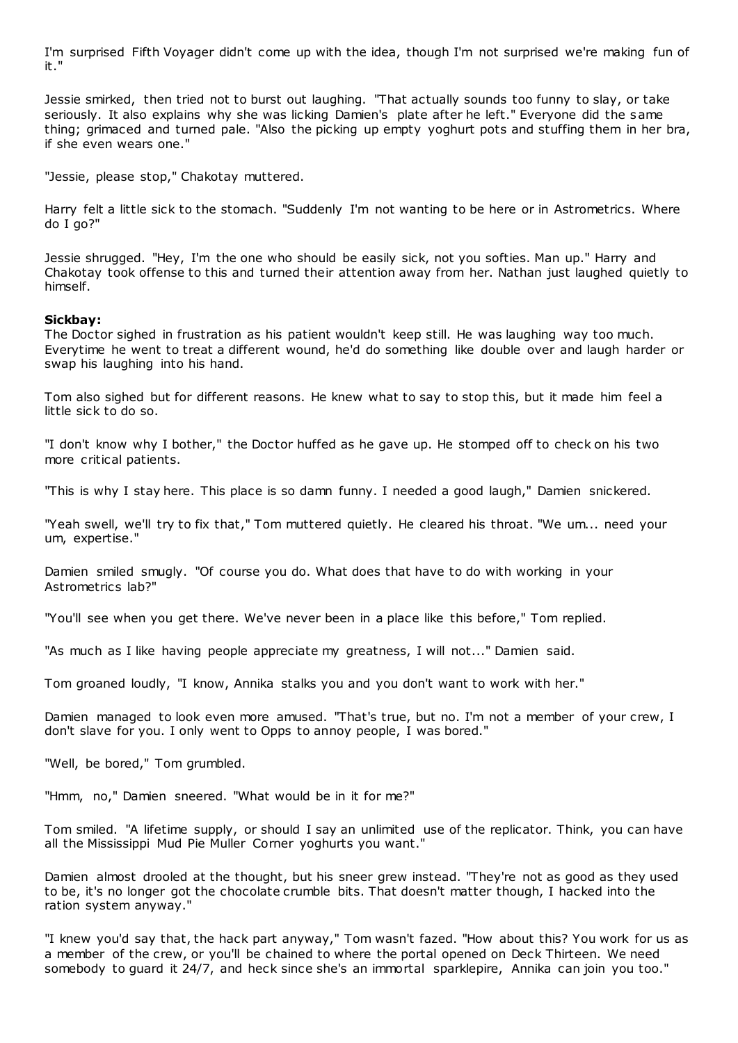I'm surprised Fifth Voyager didn't come up with the idea, though I'm not surprised we're making fun of it."

Jessie smirked, then tried not to burst out laughing. "That actually sounds too funny to slay, or take seriously. It also explains why she was licking Damien's plate after he left." Everyone did the same thing; grimaced and turned pale. "Also the picking up empty yoghurt pots and stuffing them in her bra, if she even wears one."

"Jessie, please stop," Chakotay muttered.

Harry felt a little sick to the stomach. "Suddenly I'm not wanting to be here or in Astrometrics. Where do I go?"

Jessie shrugged. "Hey, I'm the one who should be easily sick, not you softies. Man up." Harry and Chakotay took offense to this and turned their attention away from her. Nathan just laughed quietly to himself.

## **Sickbay:**

The Doctor sighed in frustration as his patient wouldn't keep still. He was laughing way too much. Everytime he went to treat a different wound, he'd do something like double over and laugh harder or swap his laughing into his hand.

Tom also sighed but for different reasons. He knew what to say to stop this, but it made him feel a little sick to do so.

"I don't know why I bother," the Doctor huffed as he gave up. He stomped off to check on his two more critical patients.

"This is why I stay here. This place is so damn funny. I needed a good laugh," Damien snickered.

"Yeah swell, we'll try to fix that," Tom muttered quietly. He cleared his throat. "We um... need your um, expertise."

Damien smiled smugly. "Of course you do. What does that have to do with working in your Astrometrics lab?"

"You'll see when you get there. We've never been in a place like this before," Tom replied.

"As much as I like having people appreciate my greatness, I will not..." Damien said.

Tom groaned loudly, "I know, Annika stalks you and you don't want to work with her."

Damien managed to look even more amused. "That's true, but no. I'm not a member of your crew, I don't slave for you. I only went to Opps to annoy people, I was bored."

"Well, be bored," Tom grumbled.

"Hmm, no," Damien sneered. "What would be in it for me?"

Tom smiled. "A lifetime supply, or should I say an unlimited use of the replicator. Think, you can have all the Mississippi Mud Pie Muller Corner yoghurts you want."

Damien almost drooled at the thought, but his sneer grew instead. "They're not as good as they used to be, it's no longer got the chocolate crumble bits. That doesn't matter though, I hacked into the ration system anyway."

"I knew you'd say that, the hack part anyway," Tom wasn't fazed. "How about this? You work for us as a member of the crew, or you'll be chained to where the portal opened on Deck Thirteen. We need somebody to guard it 24/7, and heck since she's an immortal sparklepire, Annika can join you too."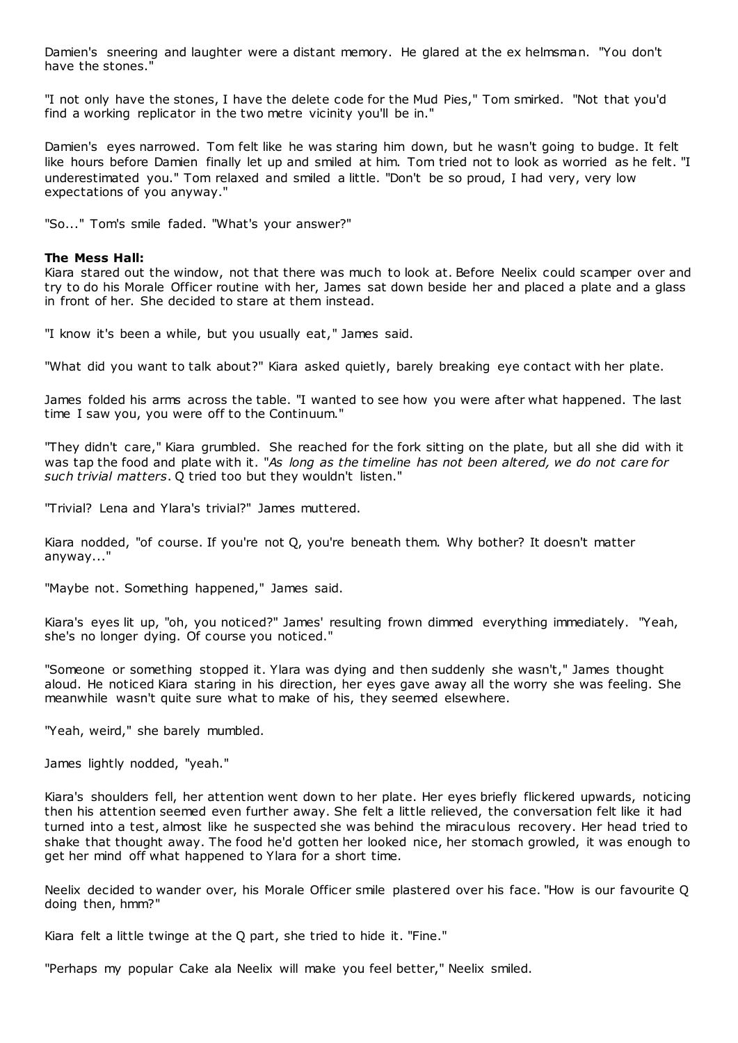Damien's sneering and laughter were a distant memory. He glared at the ex helmsman. "You don't have the stones."

"I not only have the stones, I have the delete code for the Mud Pies," Tom smirked. "Not that you'd find a working replicator in the two metre vicinity you'll be in."

Damien's eyes narrowed. Tom felt like he was staring him down, but he wasn't going to budge. It felt like hours before Damien finally let up and smiled at him. Tom tried not to look as worried as he felt. "I underestimated you." Tom relaxed and smiled a little. "Don't be so proud, I had very, very low expectations of you anyway."

"So..." Tom's smile faded. "What's your answer?"

## **The Mess Hall:**

Kiara stared out the window, not that there was much to look at. Before Neelix could scamper over and try to do his Morale Officer routine with her, James sat down beside her and placed a plate and a glass in front of her. She decided to stare at them instead.

"I know it's been a while, but you usually eat," James said.

"What did you want to talk about?" Kiara asked quietly, barely breaking eye contact with her plate.

James folded his arms across the table. "I wanted to see how you were after what happened. The last time I saw you, you were off to the Continuum."

"They didn't care," Kiara grumbled. She reached for the fork sitting on the plate, but all she did with it was tap the food and plate with it. "*As long as the timeline has not been altered, we do not care for such trivial matters*. Q tried too but they wouldn't listen."

"Trivial? Lena and Ylara's trivial?" James muttered.

Kiara nodded, "of course. If you're not Q, you're beneath them. Why bother? It doesn't matter anyway..."

"Maybe not. Something happened," James said.

Kiara's eyes lit up, "oh, you noticed?" James' resulting frown dimmed everything immediately. "Yeah, she's no longer dying. Of course you noticed."

"Someone or something stopped it. Ylara was dying and then suddenly she wasn't," James thought aloud. He noticed Kiara staring in his direction, her eyes gave away all the worry she was feeling. She meanwhile wasn't quite sure what to make of his, they seemed elsewhere.

"Yeah, weird," she barely mumbled.

James lightly nodded, "yeah."

Kiara's shoulders fell, her attention went down to her plate. Her eyes briefly flickered upwards, noticing then his attention seemed even further away. She felt a little relieved, the conversation felt like it had turned into a test, almost like he suspected she was behind the miraculous recovery. Her head tried to shake that thought away. The food he'd gotten her looked nice, her stomach growled, it was enough to get her mind off what happened to Ylara for a short time.

Neelix decided to wander over, his Morale Officer smile plastered over his face. "How is our favourite Q doing then, hmm?"

Kiara felt a little twinge at the Q part, she tried to hide it. "Fine."

"Perhaps my popular Cake ala Neelix will make you feel better," Neelix smiled.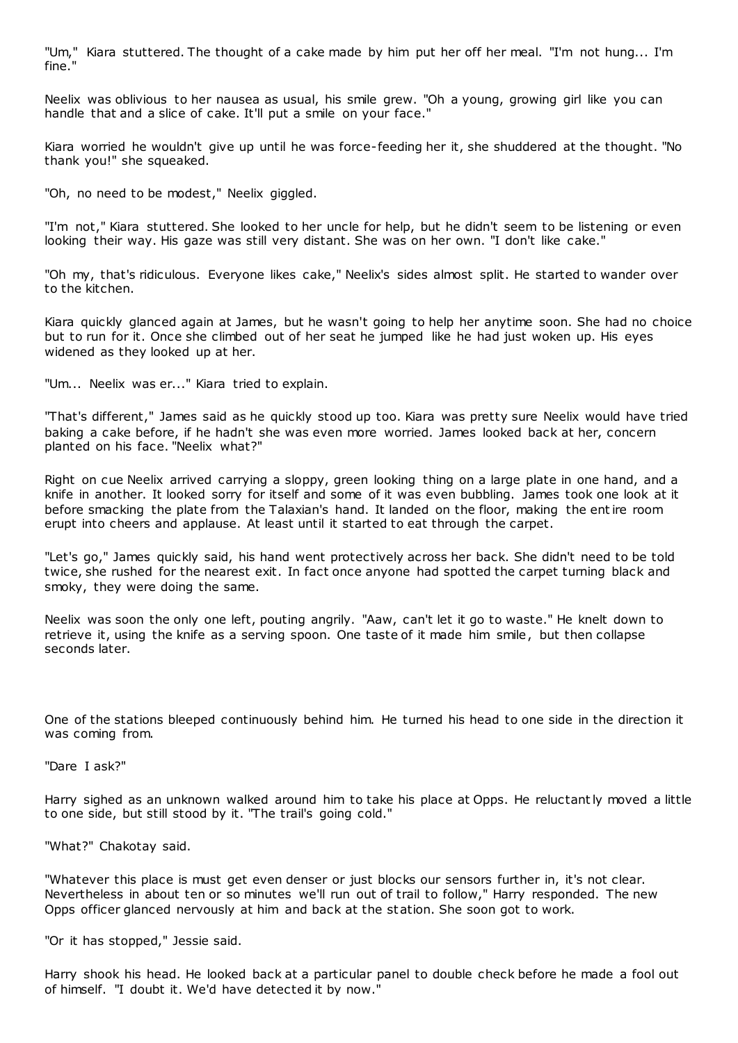"Um," Kiara stuttered. The thought of a cake made by him put her off her meal. "I'm not hung... I'm fine."

Neelix was oblivious to her nausea as usual, his smile grew. "Oh a young, growing girl like you can handle that and a slice of cake. It'll put a smile on your face."

Kiara worried he wouldn't give up until he was force-feeding her it, she shuddered at the thought. "No thank you!" she squeaked.

"Oh, no need to be modest," Neelix giggled.

"I'm not," Kiara stuttered. She looked to her uncle for help, but he didn't seem to be listening or even looking their way. His gaze was still very distant. She was on her own. "I don't like cake."

"Oh my, that's ridiculous. Everyone likes cake," Neelix's sides almost split. He started to wander over to the kitchen.

Kiara quickly glanced again at James, but he wasn't going to help her anytime soon. She had no choice but to run for it. Once she climbed out of her seat he jumped like he had just woken up. His eyes widened as they looked up at her.

"Um... Neelix was er..." Kiara tried to explain.

"That's different," James said as he quickly stood up too. Kiara was pretty sure Neelix would have tried baking a cake before, if he hadn't she was even more worried. James looked back at her, concern planted on his face. "Neelix what?"

Right on cue Neelix arrived carrying a sloppy, green looking thing on a large plate in one hand, and a knife in another. It looked sorry for itself and some of it was even bubbling. James took one look at it before smacking the plate from the Talaxian's hand. It landed on the floor, making the entire room erupt into cheers and applause. At least until it started to eat through the carpet.

"Let's go," James quickly said, his hand went protectively across her back. She didn't need to be told twice, she rushed for the nearest exit. In fact once anyone had spotted the carpet turning black and smoky, they were doing the same.

Neelix was soon the only one left, pouting angrily. "Aaw, can't let it go to waste." He knelt down to retrieve it, using the knife as a serving spoon. One taste of it made him smile, but then collapse seconds later.

One of the stations bleeped continuously behind him. He turned his head to one side in the direction it was coming from.

"Dare I ask?"

Harry sighed as an unknown walked around him to take his place at Opps. He reluctantly moved a little to one side, but still stood by it. "The trail's going cold."

"What?" Chakotay said.

"Whatever this place is must get even denser or just blocks our sensors further in, it's not clear. Nevertheless in about ten or so minutes we'll run out of trail to follow," Harry responded. The new Opps officer glanced nervously at him and back at the station. She soon got to work.

"Or it has stopped," Jessie said.

Harry shook his head. He looked back at a particular panel to double check before he made a fool out of himself. "I doubt it. We'd have detected it by now."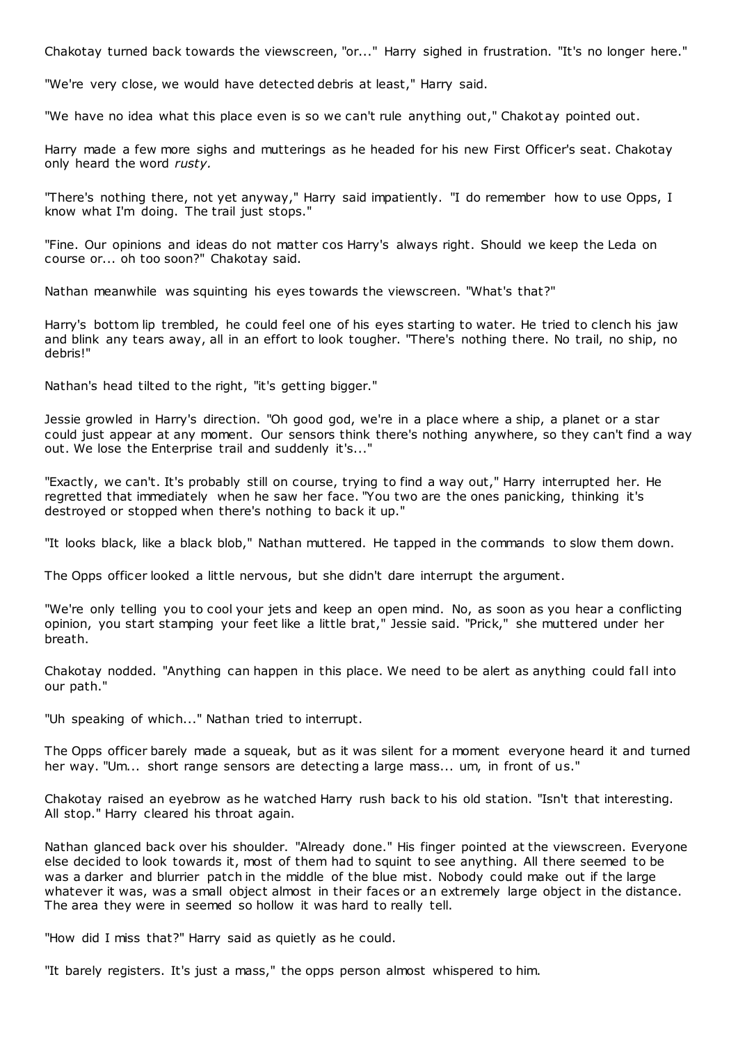Chakotay turned back towards the viewscreen, "or..." Harry sighed in frustration. "It's no longer here."

"We're very close, we would have detected debris at least," Harry said.

"We have no idea what this place even is so we can't rule anything out," Chakot ay pointed out.

Harry made a few more sighs and mutterings as he headed for his new First Officer's seat. Chakotay only heard the word *rusty.*

"There's nothing there, not yet anyway," Harry said impatiently. "I do remember how to use Opps, I know what I'm doing. The trail just stops."

"Fine. Our opinions and ideas do not matter cos Harry's always right. Should we keep the Leda on course or... oh too soon?" Chakotay said.

Nathan meanwhile was squinting his eyes towards the viewscreen. "What's that?"

Harry's bottom lip trembled, he could feel one of his eyes starting to water. He tried to clench his jaw and blink any tears away, all in an effort to look tougher. "There's nothing there. No trail, no ship, no debris!"

Nathan's head tilted to the right, "it's getting bigger."

Jessie growled in Harry's direction. "Oh good god, we're in a place where a ship, a planet or a star could just appear at any moment. Our sensors think there's nothing anywhere, so they can't find a way out. We lose the Enterprise trail and suddenly it's..."

"Exactly, we can't. It's probably still on course, trying to find a way out," Harry interrupted her. He regretted that immediately when he saw her face. "You two are the ones panicking, thinking it's destroyed or stopped when there's nothing to back it up."

"It looks black, like a black blob," Nathan muttered. He tapped in the commands to slow them down.

The Opps officer looked a little nervous, but she didn't dare interrupt the argument.

"We're only telling you to cool your jets and keep an open mind. No, as soon as you hear a conflicting opinion, you start stamping your feet like a little brat," Jessie said. "Prick," she muttered under her breath.

Chakotay nodded. "Anything can happen in this place. We need to be alert as anything could fall into our path."

"Uh speaking of which..." Nathan tried to interrupt.

The Opps officer barely made a squeak, but as it was silent for a moment everyone heard it and turned her way. "Um... short range sensors are detecting a large mass... um, in front of us."

Chakotay raised an eyebrow as he watched Harry rush back to his old station. "Isn't that interesting. All stop." Harry cleared his throat again.

Nathan glanced back over his shoulder. "Already done." His finger pointed at the viewscreen. Everyone else decided to look towards it, most of them had to squint to see anything. All there seemed to be was a darker and blurrier patch in the middle of the blue mist. Nobody could make out if the large whatever it was, was a small object almost in their faces or an extremely large object in the distance. The area they were in seemed so hollow it was hard to really tell.

"How did I miss that?" Harry said as quietly as he could.

"It barely registers. It's just a mass," the opps person almost whispered to him.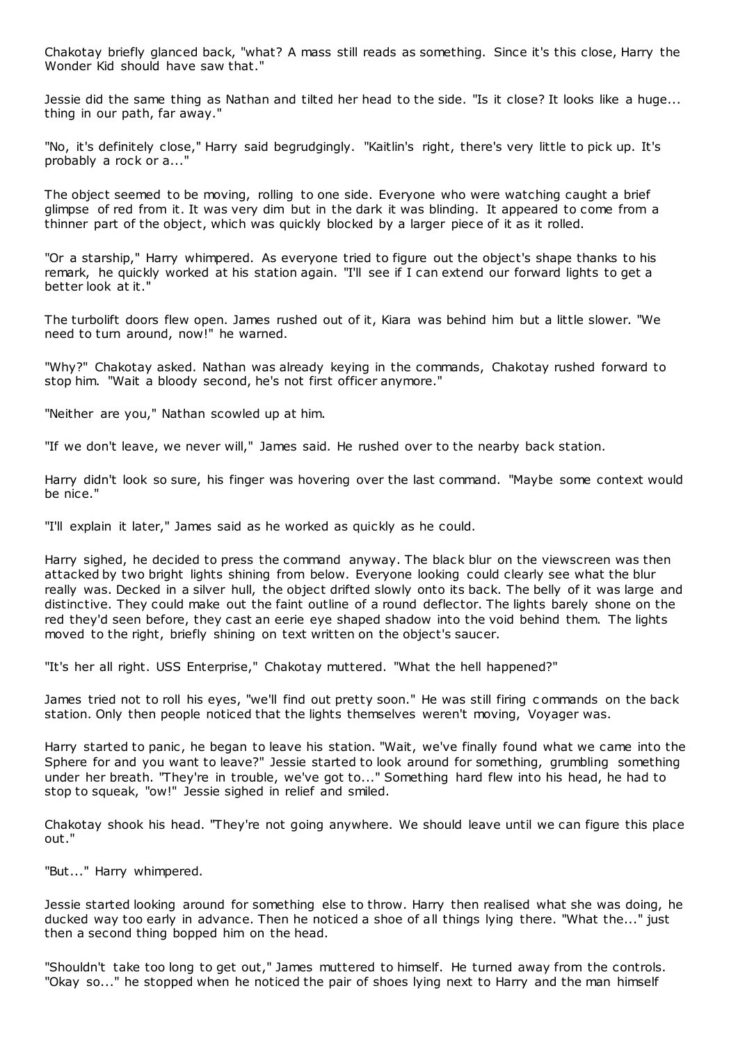Chakotay briefly glanced back, "what? A mass still reads as something. Since it's this close, Harry the Wonder Kid should have saw that."

Jessie did the same thing as Nathan and tilted her head to the side. "Is it close? It looks like a huge... thing in our path, far away."

"No, it's definitely close," Harry said begrudgingly. "Kaitlin's right, there's very little to pick up. It's probably a rock or a..."

The object seemed to be moving, rolling to one side. Everyone who were watching caught a brief glimpse of red from it. It was very dim but in the dark it was blinding. It appeared to come from a thinner part of the object, which was quickly blocked by a larger piece of it as it rolled.

"Or a starship," Harry whimpered. As everyone tried to figure out the object's shape thanks to his remark, he quickly worked at his station again. "I'll see if I can extend our forward lights to get a better look at it."

The turbolift doors flew open. James rushed out of it, Kiara was behind him but a little slower. "We need to turn around, now!" he warned.

"Why?" Chakotay asked. Nathan was already keying in the commands, Chakotay rushed forward to stop him. "Wait a bloody second, he's not first officer anymore."

"Neither are you," Nathan scowled up at him.

"If we don't leave, we never will," James said. He rushed over to the nearby back station.

Harry didn't look so sure, his finger was hovering over the last command. "Maybe some context would be nice."

"I'll explain it later," James said as he worked as quickly as he could.

Harry sighed, he decided to press the command anyway. The black blur on the viewscreen was then attacked by two bright lights shining from below. Everyone looking could clearly see what the blur really was. Decked in a silver hull, the object drifted slowly onto its back. The belly of it was large and distinctive. They could make out the faint outline of a round deflector. The lights barely shone on the red they'd seen before, they cast an eerie eye shaped shadow into the void behind them. The lights moved to the right, briefly shining on text written on the object's saucer.

"It's her all right. USS Enterprise," Chakotay muttered. "What the hell happened?"

James tried not to roll his eyes, "we'll find out pretty soon." He was still firing c ommands on the back station. Only then people noticed that the lights themselves weren't moving, Voyager was.

Harry started to panic, he began to leave his station. "Wait, we've finally found what we came into the Sphere for and you want to leave?" Jessie started to look around for something, grumbling something under her breath. "They're in trouble, we've got to..." Something hard flew into his head, he had to stop to squeak, "ow!" Jessie sighed in relief and smiled.

Chakotay shook his head. "They're not going anywhere. We should leave until we can figure this place out."

"But..." Harry whimpered.

Jessie started looking around for something else to throw. Harry then realised what she was doing, he ducked way too early in advance. Then he noticed a shoe of all things lying there. "What the..." just then a second thing bopped him on the head.

"Shouldn't take too long to get out," James muttered to himself. He turned away from the controls. "Okay so..." he stopped when he noticed the pair of shoes lying next to Harry and the man himself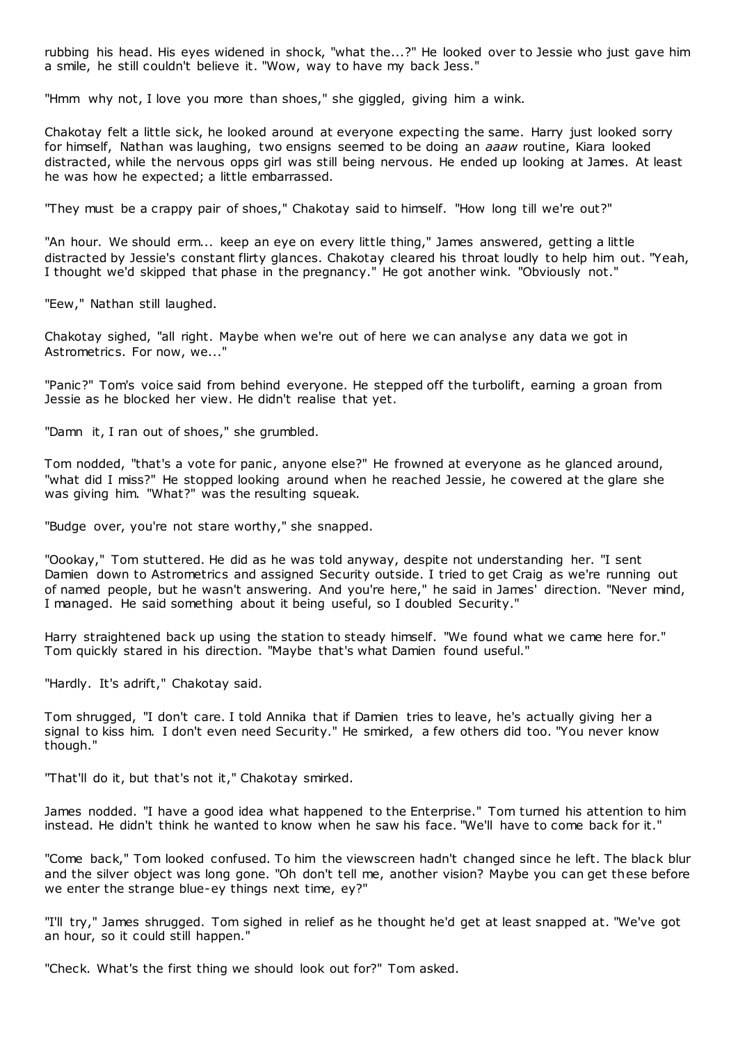rubbing his head. His eyes widened in shock, "what the...?" He looked over to Jessie who just gave him a smile, he still couldn't believe it. "Wow, way to have my back Jess."

"Hmm why not, I love you more than shoes," she giggled, giving him a wink.

Chakotay felt a little sick, he looked around at everyone expecting the same. Harry just looked sorry for himself, Nathan was laughing, two ensigns seemed to be doing an *aaaw* routine, Kiara looked distracted, while the nervous opps girl was still being nervous. He ended up looking at James. At least he was how he expected; a little embarrassed.

"They must be a crappy pair of shoes," Chakotay said to himself. "How long till we're out?"

"An hour. We should erm... keep an eye on every little thing," James answered, getting a little distracted by Jessie's constant flirty glances. Chakotay cleared his throat loudly to help him out. "Yeah, I thought we'd skipped that phase in the pregnancy." He got another wink. "Obviously not."

"Eew," Nathan still laughed.

Chakotay sighed, "all right. Maybe when we're out of here we can analyse any data we got in Astrometrics. For now, we..."

"Panic?" Tom's voice said from behind everyone. He stepped off the turbolift, earning a groan from Jessie as he blocked her view. He didn't realise that yet.

"Damn it, I ran out of shoes," she grumbled.

Tom nodded, "that's a vote for panic, anyone else?" He frowned at everyone as he glanced around, "what did I miss?" He stopped looking around when he reached Jessie, he cowered at the glare she was giving him. "What?" was the resulting squeak.

"Budge over, you're not stare worthy," she snapped.

"Oookay," Tom stuttered. He did as he was told anyway, despite not understanding her. "I sent Damien down to Astrometrics and assigned Security outside. I tried to get Craig as we're running out of named people, but he wasn't answering. And you're here," he said in James' direction. "Never mind, I managed. He said something about it being useful, so I doubled Security."

Harry straightened back up using the station to steady himself. "We found what we came here for." Tom quickly stared in his direction. "Maybe that's what Damien found useful."

"Hardly. It's adrift," Chakotay said.

Tom shrugged, "I don't care. I told Annika that if Damien tries to leave, he's actually giving her a signal to kiss him. I don't even need Security." He smirked, a few others did too. "You never know though."

"That'll do it, but that's not it," Chakotay smirked.

James nodded. "I have a good idea what happened to the Enterprise." Tom turned his attention to him instead. He didn't think he wanted to know when he saw his face. "We'll have to come back for it."

"Come back," Tom looked confused. To him the viewscreen hadn't changed since he left. The black blur and the silver object was long gone. "Oh don't tell me, another vision? Maybe you can get these before we enter the strange blue-ey things next time, ey?"

"I'll try," James shrugged. Tom sighed in relief as he thought he'd get at least snapped at. "We've got an hour, so it could still happen."

"Check. What's the first thing we should look out for?" Tom asked.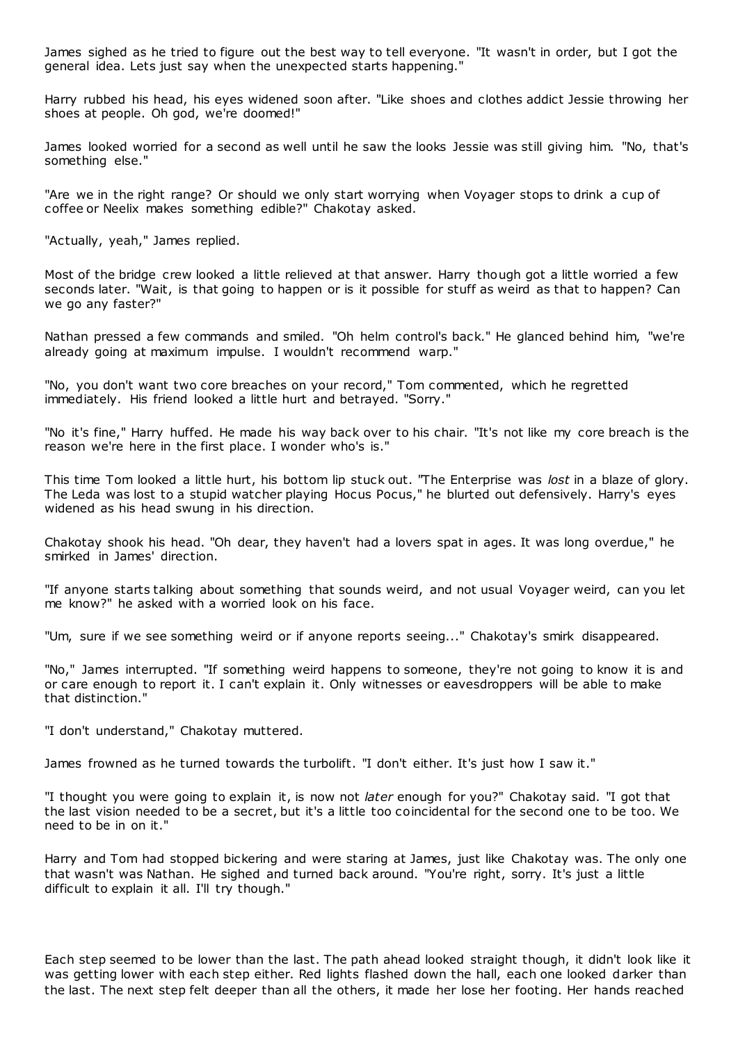James sighed as he tried to figure out the best way to tell everyone. "It wasn't in order, but I got the general idea. Lets just say when the unexpected starts happening."

Harry rubbed his head, his eyes widened soon after. "Like shoes and clothes addict Jessie throwing her shoes at people. Oh god, we're doomed!"

James looked worried for a second as well until he saw the looks Jessie was still giving him. "No, that's something else."

"Are we in the right range? Or should we only start worrying when Voyager stops to drink a cup of coffee or Neelix makes something edible?" Chakotay asked.

"Actually, yeah," James replied.

Most of the bridge crew looked a little relieved at that answer. Harry though got a little worried a few seconds later. "Wait, is that going to happen or is it possible for stuff as weird as that to happen? Can we go any faster?"

Nathan pressed a few commands and smiled. "Oh helm control's back." He glanced behind him, "we're already going at maximum impulse. I wouldn't recommend warp."

"No, you don't want two core breaches on your record," Tom commented, which he regretted immediately. His friend looked a little hurt and betrayed. "Sorry."

"No it's fine," Harry huffed. He made his way back over to his chair. "It's not like my core breach is the reason we're here in the first place. I wonder who's is."

This time Tom looked a little hurt, his bottom lip stuck out. "The Enterprise was *lost* in a blaze of glory. The Leda was lost to a stupid watcher playing Hocus Pocus," he blurted out defensively. Harry's eyes widened as his head swung in his direction.

Chakotay shook his head. "Oh dear, they haven't had a lovers spat in ages. It was long overdue," he smirked in James' direction.

"If anyone starts talking about something that sounds weird, and not usual Voyager weird, can you let me know?" he asked with a worried look on his face.

"Um, sure if we see something weird or if anyone reports seeing..." Chakotay's smirk disappeared.

"No," James interrupted. "If something weird happens to someone, they're not going to know it is and or care enough to report it. I can't explain it. Only witnesses or eavesdroppers will be able to make that distinction."

"I don't understand," Chakotay muttered.

James frowned as he turned towards the turbolift. "I don't either. It's just how I saw it."

"I thought you were going to explain it, is now not *later* enough for you?" Chakotay said. "I got that the last vision needed to be a secret, but it's a little too coincidental for the second one to be too. We need to be in on it."

Harry and Tom had stopped bickering and were staring at James, just like Chakotay was. The only one that wasn't was Nathan. He sighed and turned back around. "You're right, sorry. It's just a little difficult to explain it all. I'll try though."

Each step seemed to be lower than the last. The path ahead looked straight though, it didn't look like it was getting lower with each step either. Red lights flashed down the hall, each one looked darker than the last. The next step felt deeper than all the others, it made her lose her footing. Her hands reached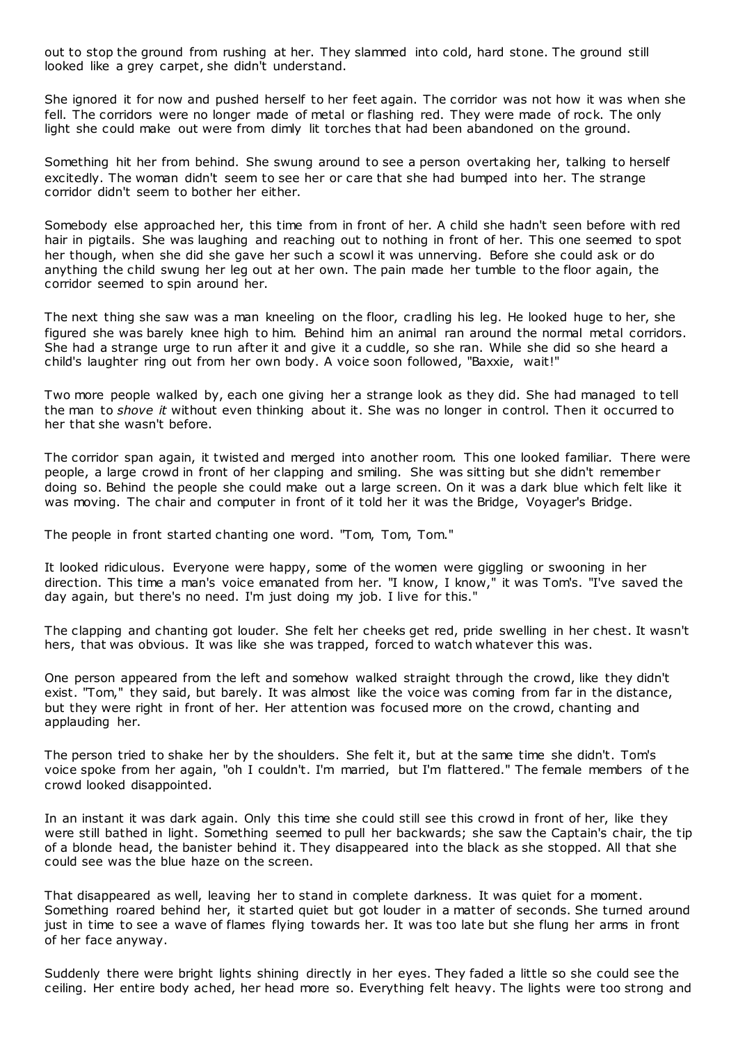out to stop the ground from rushing at her. They slammed into cold, hard stone. The ground still looked like a grey carpet, she didn't understand.

She ignored it for now and pushed herself to her feet again. The corridor was not how it was when she fell. The corridors were no longer made of metal or flashing red. They were made of rock. The only light she could make out were from dimly lit torches that had been abandoned on the ground.

Something hit her from behind. She swung around to see a person overtaking her, talking to herself excitedly. The woman didn't seem to see her or care that she had bumped into her. The strange corridor didn't seem to bother her either.

Somebody else approached her, this time from in front of her. A child she hadn't seen before with red hair in pigtails. She was laughing and reaching out to nothing in front of her. This one seemed to spot her though, when she did she gave her such a scowl it was unnerving. Before she could ask or do anything the child swung her leg out at her own. The pain made her tumble to the floor again, the corridor seemed to spin around her.

The next thing she saw was a man kneeling on the floor, cradling his leg. He looked huge to her, she figured she was barely knee high to him. Behind him an animal ran around the normal metal corridors. She had a strange urge to run after it and give it a cuddle, so she ran. While she did so she heard a child's laughter ring out from her own body. A voice soon followed, "Baxxie, wait!"

Two more people walked by, each one giving her a strange look as they did. She had managed to tell the man to *shove it* without even thinking about it. She was no longer in control. Then it occurred to her that she wasn't before.

The corridor span again, it twisted and merged into another room. This one looked familiar. There were people, a large crowd in front of her clapping and smiling. She was sitting but she didn't remember doing so. Behind the people she could make out a large screen. On it was a dark blue which felt like it was moving. The chair and computer in front of it told her it was the Bridge, Voyager's Bridge.

The people in front started chanting one word. "Tom, Tom, Tom."

It looked ridiculous. Everyone were happy, some of the women were giggling or swooning in her direction. This time a man's voice emanated from her. "I know, I know," it was Tom's. "I've saved the day again, but there's no need. I'm just doing my job. I live for this."

The clapping and chanting got louder. She felt her cheeks get red, pride swelling in her chest. It wasn't hers, that was obvious. It was like she was trapped, forced to watch whatever this was.

One person appeared from the left and somehow walked straight through the crowd, like they didn't exist. "Tom," they said, but barely. It was almost like the voice was coming from far in the distance, but they were right in front of her. Her attention was focused more on the crowd, chanting and applauding her.

The person tried to shake her by the shoulders. She felt it, but at the same time she didn't. Tom's voice spoke from her again, "oh I couldn't. I'm married, but I'm flattered." The female members of t he crowd looked disappointed.

In an instant it was dark again. Only this time she could still see this crowd in front of her, like they were still bathed in light. Something seemed to pull her backwards; she saw the Captain's chair, the tip of a blonde head, the banister behind it. They disappeared into the black as she stopped. All that she could see was the blue haze on the screen.

That disappeared as well, leaving her to stand in complete darkness. It was quiet for a moment. Something roared behind her, it started quiet but got louder in a matter of seconds. She turned around just in time to see a wave of flames flying towards her. It was too late but she flung her arms in front of her face anyway.

Suddenly there were bright lights shining directly in her eyes. They faded a little so she could see the ceiling. Her entire body ached, her head more so. Everything felt heavy. The lights were too strong and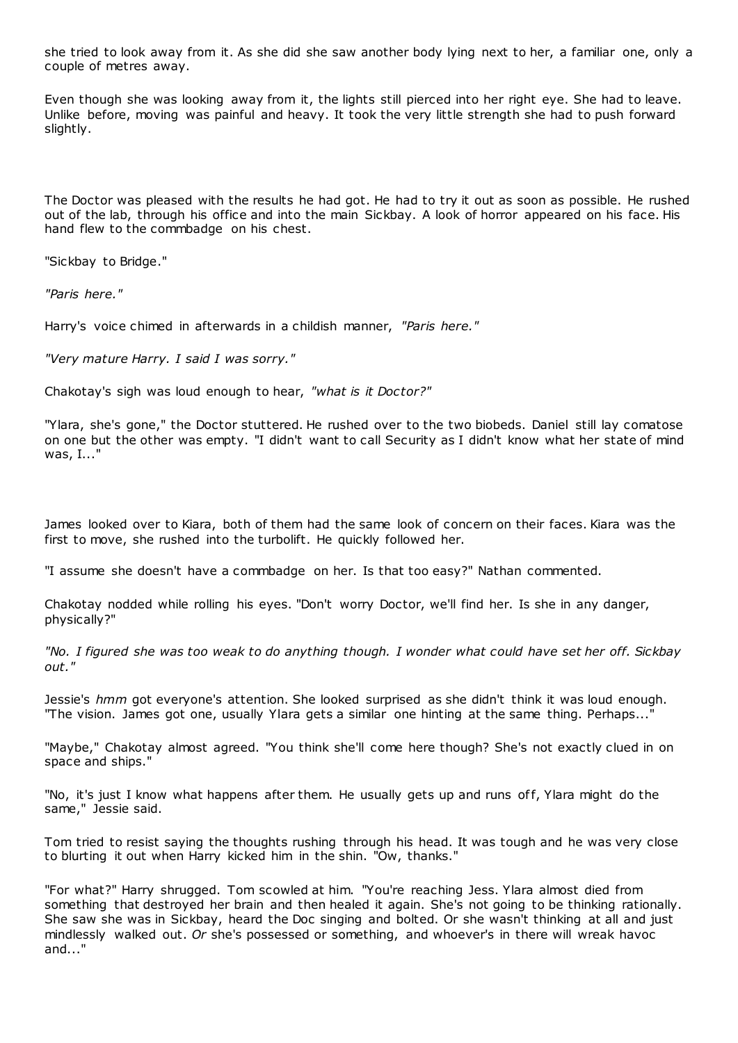she tried to look away from it. As she did she saw another body lying next to her, a familiar one, only a couple of metres away.

Even though she was looking away from it, the lights still pierced into her right eye. She had to leave. Unlike before, moving was painful and heavy. It took the very little strength she had to push forward slightly.

The Doctor was pleased with the results he had got. He had to try it out as soon as possible. He rushed out of the lab, through his office and into the main Sickbay. A look of horror appeared on his face. His hand flew to the commbadge on his chest.

"Sickbay to Bridge."

*"Paris here."*

Harry's voice chimed in afterwards in a childish manner, *"Paris here."*

*"Very mature Harry. I said I was sorry."*

Chakotay's sigh was loud enough to hear, *"what is it Doctor?"*

"Ylara, she's gone," the Doctor stuttered. He rushed over to the two biobeds. Daniel still lay comatose on one but the other was empty. "I didn't want to call Security as I didn't know what her state of mind was, I..."

James looked over to Kiara, both of them had the same look of concern on their faces. Kiara was the first to move, she rushed into the turbolift. He quickly followed her.

"I assume she doesn't have a commbadge on her. Is that too easy?" Nathan commented.

Chakotay nodded while rolling his eyes. "Don't worry Doctor, we'll find her. Is she in any danger, physically?"

*"No. I figured she was too weak to do anything though. I wonder what could have set her off. Sickbay out."*

Jessie's *hmm* got everyone's attention. She looked surprised as she didn't think it was loud enough. "The vision. James got one, usually Ylara gets a similar one hinting at the same thing. Perhaps..."

"Maybe," Chakotay almost agreed. "You think she'll come here though? She's not exactly clued in on space and ships."

"No, it's just I know what happens after them. He usually gets up and runs off, Ylara might do the same," Jessie said.

Tom tried to resist saying the thoughts rushing through his head. It was tough and he was very close to blurting it out when Harry kicked him in the shin. "Ow, thanks."

"For what?" Harry shrugged. Tom scowled at him. "You're reaching Jess. Ylara almost died from something that destroyed her brain and then healed it again. She's not going to be thinking rationally. She saw she was in Sickbay, heard the Doc singing and bolted. Or she wasn't thinking at all and just mindlessly walked out. *Or* she's possessed or something, and whoever's in there will wreak havoc and..."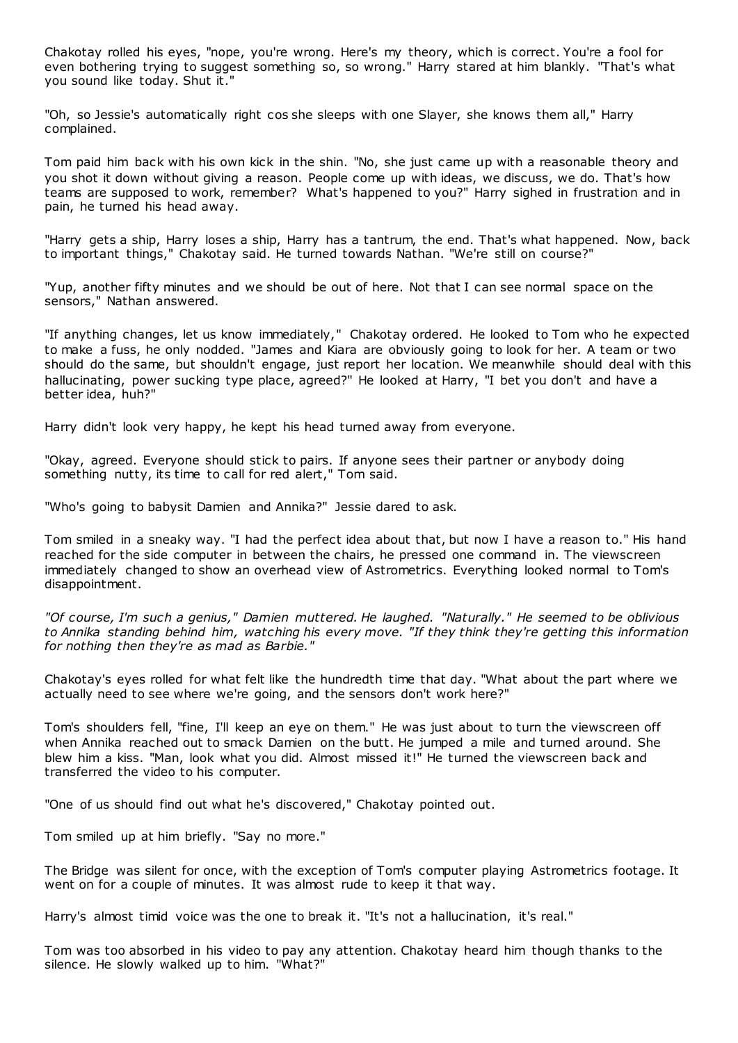Chakotay rolled his eyes, "nope, you're wrong. Here's my theory, which is correct. You're a fool for even bothering trying to suggest something so, so wrong." Harry stared at him blankly. "That's what you sound like today. Shut it."

"Oh, so Jessie's automatically right cos she sleeps with one Slayer, she knows them all," Harry complained.

Tom paid him back with his own kick in the shin. "No, she just came up with a reasonable theory and you shot it down without giving a reason. People come up with ideas, we discuss, we do. That's how teams are supposed to work, remember? What's happened to you?" Harry sighed in frustration and in pain, he turned his head away.

"Harry gets a ship, Harry loses a ship, Harry has a tantrum, the end. That's what happened. Now, back to important things," Chakotay said. He turned towards Nathan. "We're still on course?"

"Yup, another fifty minutes and we should be out of here. Not that I can see normal space on the sensors," Nathan answered.

"If anything changes, let us know immediately," Chakotay ordered. He looked to Tom who he expected to make a fuss, he only nodded. "James and Kiara are obviously going to look for her. A team or two should do the same, but shouldn't engage, just report her location. We meanwhile should deal with this hallucinating, power sucking type place, agreed?" He looked at Harry, "I bet you don't and have a better idea, huh?"

Harry didn't look very happy, he kept his head turned away from everyone.

"Okay, agreed. Everyone should stick to pairs. If anyone sees their partner or anybody doing something nutty, its time to call for red alert," Tom said.

"Who's going to babysit Damien and Annika?" Jessie dared to ask.

Tom smiled in a sneaky way. "I had the perfect idea about that, but now I have a reason to." His hand reached for the side computer in between the chairs, he pressed one command in. The viewscreen immediately changed to show an overhead view of Astrometrics. Everything looked normal to Tom's disappointment.

*"Of course, I'm such a genius," Damien muttered. He laughed. "Naturally." He seemed to be oblivious to Annika standing behind him, watching his every move. "If they think they're getting this information for nothing then they're as mad as Barbie."*

Chakotay's eyes rolled for what felt like the hundredth time that day. "What about the part where we actually need to see where we're going, and the sensors don't work here?"

Tom's shoulders fell, "fine, I'll keep an eye on them." He was just about to turn the viewscreen off when Annika reached out to smack Damien on the butt. He jumped a mile and turned around. She blew him a kiss. "Man, look what you did. Almost missed it!" He turned the viewscreen back and transferred the video to his computer.

"One of us should find out what he's discovered," Chakotay pointed out.

Tom smiled up at him briefly. "Say no more."

The Bridge was silent for once, with the exception of Tom's computer playing Astrometrics footage. It went on for a couple of minutes. It was almost rude to keep it that way.

Harry's almost timid voice was the one to break it. "It's not a hallucination, it's real."

Tom was too absorbed in his video to pay any attention. Chakotay heard him though thanks to the silence. He slowly walked up to him. "What?"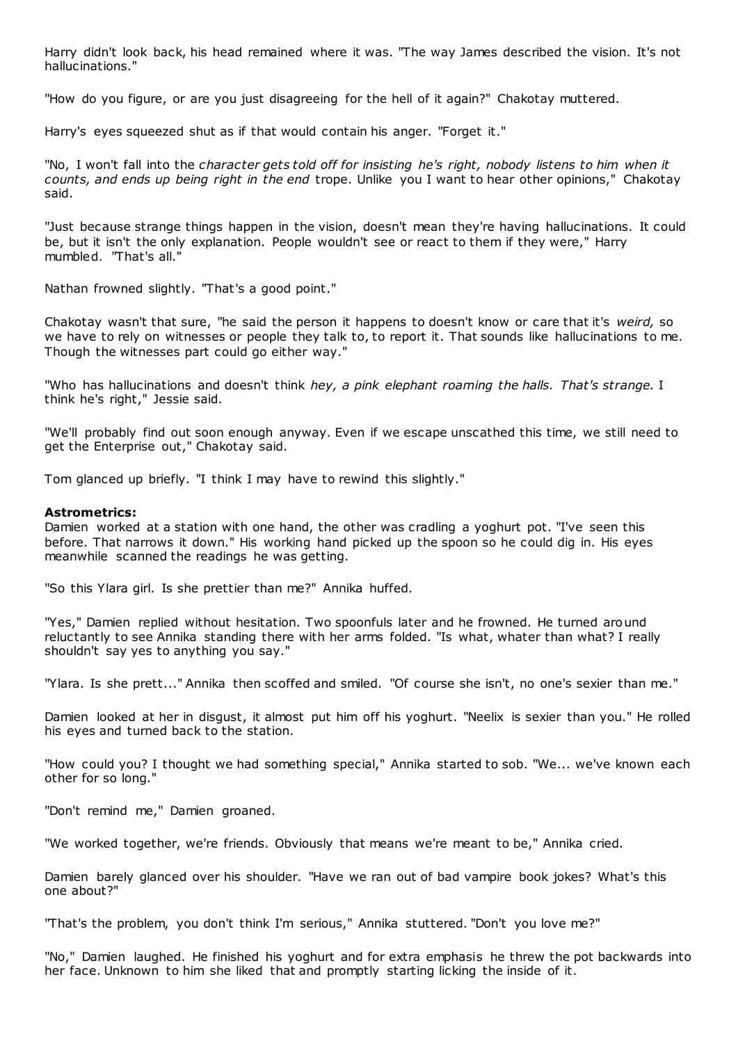Harry didn't look back, his head remained where it was. "The way James described the vision. It's not hallucinations."

"How do you figure, or are you just disagreeing for the hell of it again?" Chakotay muttered.

Harry's eyes squeezed shut as if that would contain his anger. "Forget it."

"No, I won't fall into the *character gets told off for insisting he's right, nobody listens to him when it counts, and ends up being right in the end* trope. Unlike you I want to hear other opinions," Chakotay said.

"Just because strange things happen in the vision, doesn't mean they're having hallucinations. It could be, but it isn't the only explanation. People wouldn't see or react to them if they were," Harry mumbled. "That's all."

Nathan frowned slightly. "That's a good point."

Chakotay wasn't that sure, "he said the person it happens to doesn't know or care that it's *weird,* so we have to rely on witnesses or people they talk to, to report it. That sounds like hallucinations to me. Though the witnesses part could go either way."

"Who has hallucinations and doesn't think *hey, a pink elephant roaming the halls. That's strange.* I think he's right," Jessie said.

"We'll probably find out soon enough anyway. Even if we escape unscathed this time, we still need to get the Enterprise out," Chakotay said.

Tom glanced up briefly. "I think I may have to rewind this slightly."

## **Astrometrics:**

Damien worked at a station with one hand, the other was cradling a yoghurt pot. "I've seen this before. That narrows it down." His working hand picked up the spoon so he could dig in. His eyes meanwhile scanned the readings he was getting.

"So this Ylara girl. Is she prettier than me?" Annika huffed.

"Yes," Damien replied without hesitation. Two spoonfuls later and he frowned. He turned around reluctantly to see Annika standing there with her arms folded. "Is what, whater than what? I really shouldn't say yes to anything you say."

"Ylara. Is she prett..." Annika then scoffed and smiled. "Of course she isn't, no one's sexier than me."

Damien looked at her in disgust, it almost put him off his yoghurt. "Neelix is sexier than you." He rolled his eyes and turned back to the station.

"How could you? I thought we had something special," Annika started to sob. "We... we've known each other for so long."

"Don't remind me," Damien groaned.

"We worked together, we're friends. Obviously that means we're meant to be," Annika cried.

Damien barely glanced over his shoulder. "Have we ran out of bad vampire book jokes? What's this one about?"

"That's the problem, you don't think I'm serious," Annika stuttered. "Don't you love me?"

"No," Damien laughed. He finished his yoghurt and for extra emphasis he threw the pot backwards into her face. Unknown to him she liked that and promptly starting licking the inside of it.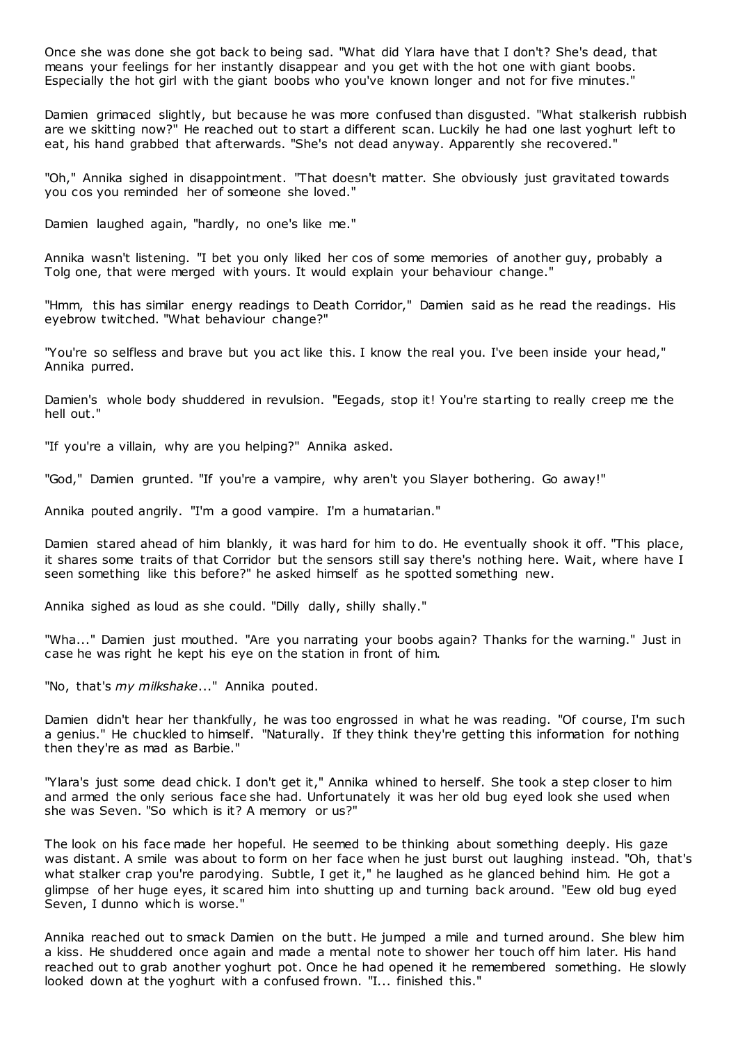Once she was done she got back to being sad. "What did Ylara have that I don't? She's dead, that means your feelings for her instantly disappear and you get with the hot one with giant boobs. Especially the hot girl with the giant boobs who you've known longer and not for five minutes."

Damien grimaced slightly, but because he was more confused than disgusted. "What stalkerish rubbish are we skitting now?" He reached out to start a different scan. Luckily he had one last yoghurt left to eat, his hand grabbed that afterwards. "She's not dead anyway. Apparently she recovered."

"Oh," Annika sighed in disappointment. "That doesn't matter. She obviously just gravitated towards you cos you reminded her of someone she loved."

Damien laughed again, "hardly, no one's like me."

Annika wasn't listening. "I bet you only liked her cos of some memories of another guy, probably a Tolg one, that were merged with yours. It would explain your behaviour change."

"Hmm, this has similar energy readings to Death Corridor," Damien said as he read the readings. His eyebrow twitched. "What behaviour change?"

"You're so selfless and brave but you act like this. I know the real you. I've been inside your head," Annika purred.

Damien's whole body shuddered in revulsion. "Eegads, stop it! You're starting to really creep me the hell out."

"If you're a villain, why are you helping?" Annika asked.

"God," Damien grunted. "If you're a vampire, why aren't you Slayer bothering. Go away!"

Annika pouted angrily. "I'm a good vampire. I'm a humatarian."

Damien stared ahead of him blankly, it was hard for him to do. He eventually shook it off. "This place, it shares some traits of that Corridor but the sensors still say there's nothing here. Wait, where have I seen something like this before?" he asked himself as he spotted something new.

Annika sighed as loud as she could. "Dilly dally, shilly shally."

"Wha..." Damien just mouthed. "Are you narrating your boobs again? Thanks for the warning." Just in case he was right he kept his eye on the station in front of him.

"No, that's *my milkshake*..." Annika pouted.

Damien didn't hear her thankfully, he was too engrossed in what he was reading. "Of course, I'm such a genius." He chuckled to himself. "Naturally. If they think they're getting this information for nothing then they're as mad as Barbie."

"Ylara's just some dead chick. I don't get it," Annika whined to herself. She took a step closer to him and armed the only serious face she had. Unfortunately it was her old bug eyed look she used when she was Seven. "So which is it? A memory or us?"

The look on his face made her hopeful. He seemed to be thinking about something deeply. His gaze was distant. A smile was about to form on her face when he just burst out laughing instead. "Oh, that's what stalker crap you're parodying. Subtle, I get it," he laughed as he glanced behind him. He got a glimpse of her huge eyes, it scared him into shutting up and turning back around. "Eew old bug eyed Seven, I dunno which is worse."

Annika reached out to smack Damien on the butt. He jumped a mile and turned around. She blew him a kiss. He shuddered once again and made a mental note to shower her touch off him later. His hand reached out to grab another yoghurt pot. Once he had opened it he remembered something. He slowly looked down at the yoghurt with a confused frown. "I... finished this."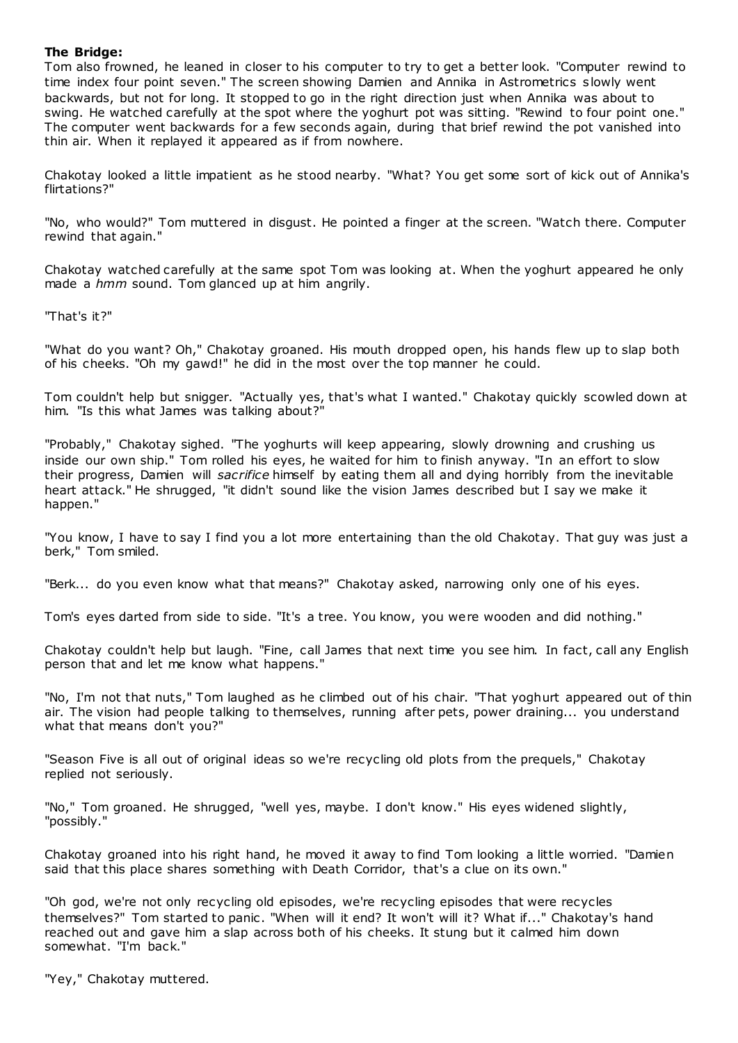# **The Bridge:**

Tom also frowned, he leaned in closer to his computer to try to get a better look. "Computer rewind to time index four point seven." The screen showing Damien and Annika in Astrometrics s lowly went backwards, but not for long. It stopped to go in the right direction just when Annika was about to swing. He watched carefully at the spot where the yoghurt pot was sitting. "Rewind to four point one." The computer went backwards for a few seconds again, during that brief rewind the pot vanished into thin air. When it replayed it appeared as if from nowhere.

Chakotay looked a little impatient as he stood nearby. "What? You get some sort of kick out of Annika's flirtations?"

"No, who would?" Tom muttered in disgust. He pointed a finger at the screen. "Watch there. Computer rewind that again."

Chakotay watched carefully at the same spot Tom was looking at. When the yoghurt appeared he only made a *hmm* sound. Tom glanced up at him angrily.

"That's it?"

"What do you want? Oh," Chakotay groaned. His mouth dropped open, his hands flew up to slap both of his cheeks. "Oh my gawd!" he did in the most over the top manner he could.

Tom couldn't help but snigger. "Actually yes, that's what I wanted." Chakotay quickly scowled down at him. "Is this what James was talking about?"

"Probably," Chakotay sighed. "The yoghurts will keep appearing, slowly drowning and crushing us inside our own ship." Tom rolled his eyes, he waited for him to finish anyway. "In an effort to slow their progress, Damien will *sacrifice* himself by eating them all and dying horribly from the inevitable heart attack." He shrugged, "it didn't sound like the vision James described but I say we make it happen."

"You know, I have to say I find you a lot more entertaining than the old Chakotay. That guy was just a berk," Tom smiled.

"Berk... do you even know what that means?" Chakotay asked, narrowing only one of his eyes.

Tom's eyes darted from side to side. "It's a tree. You know, you were wooden and did nothing."

Chakotay couldn't help but laugh. "Fine, call James that next time you see him. In fact, call any English person that and let me know what happens."

"No, I'm not that nuts," Tom laughed as he climbed out of his chair. "That yoghurt appeared out of thin air. The vision had people talking to themselves, running after pets, power draining... you understand what that means don't you?"

"Season Five is all out of original ideas so we're recycling old plots from the prequels," Chakotay replied not seriously.

"No," Tom groaned. He shrugged, "well yes, maybe. I don't know." His eyes widened slightly, "possibly."

Chakotay groaned into his right hand, he moved it away to find Tom looking a little worried. "Damien said that this place shares something with Death Corridor, that's a clue on its own."

"Oh god, we're not only recycling old episodes, we're recycling episodes that were recycles themselves?" Tom started to panic. "When will it end? It won't will it? What if..." Chakotay's hand reached out and gave him a slap across both of his cheeks. It stung but it calmed him down somewhat. "I'm back."

"Yey," Chakotay muttered.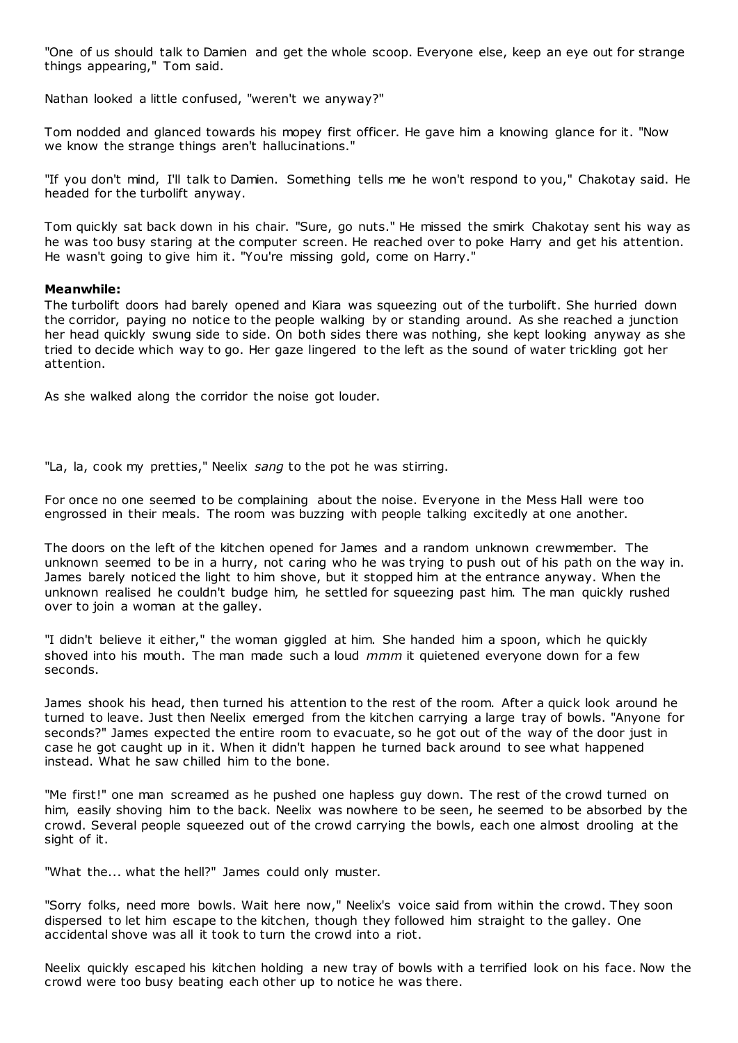"One of us should talk to Damien and get the whole scoop. Everyone else, keep an eye out for strange things appearing," Tom said.

Nathan looked a little confused, "weren't we anyway?"

Tom nodded and glanced towards his mopey first officer. He gave him a knowing glance for it. "Now we know the strange things aren't hallucinations."

"If you don't mind, I'll talk to Damien. Something tells me he won't respond to you," Chakotay said. He headed for the turbolift anyway.

Tom quickly sat back down in his chair. "Sure, go nuts." He missed the smirk Chakotay sent his way as he was too busy staring at the computer screen. He reached over to poke Harry and get his attention. He wasn't going to give him it. "You're missing gold, come on Harry."

# **Meanwhile:**

The turbolift doors had barely opened and Kiara was squeezing out of the turbolift. She hurried down the corridor, paying no notice to the people walking by or standing around. As she reached a junction her head quickly swung side to side. On both sides there was nothing, she kept looking anyway as she tried to decide which way to go. Her gaze lingered to the left as the sound of water trickling got her attention.

As she walked along the corridor the noise got louder.

"La, la, cook my pretties," Neelix *sang* to the pot he was stirring.

For once no one seemed to be complaining about the noise. Everyone in the Mess Hall were too engrossed in their meals. The room was buzzing with people talking excitedly at one another.

The doors on the left of the kitchen opened for James and a random unknown crewmember. The unknown seemed to be in a hurry, not caring who he was trying to push out of his path on the way in. James barely noticed the light to him shove, but it stopped him at the entrance anyway. When the unknown realised he couldn't budge him, he settled for squeezing past him. The man quickly rushed over to join a woman at the galley.

"I didn't believe it either," the woman giggled at him. She handed him a spoon, which he quickly shoved into his mouth. The man made such a loud *mmm* it quietened everyone down for a few seconds.

James shook his head, then turned his attention to the rest of the room. After a quick look around he turned to leave. Just then Neelix emerged from the kitchen carrying a large tray of bowls. "Anyone for seconds?" James expected the entire room to evacuate, so he got out of the way of the door just in case he got caught up in it. When it didn't happen he turned back around to see what happened instead. What he saw chilled him to the bone.

"Me first!" one man screamed as he pushed one hapless guy down. The rest of the crowd turned on him, easily shoving him to the back. Neelix was nowhere to be seen, he seemed to be absorbed by the crowd. Several people squeezed out of the crowd carrying the bowls, each one almost drooling at the sight of it.

"What the... what the hell?" James could only muster.

"Sorry folks, need more bowls. Wait here now," Neelix's voice said from within the crowd. They soon dispersed to let him escape to the kitchen, though they followed him straight to the galley. One accidental shove was all it took to turn the crowd into a riot.

Neelix quickly escaped his kitchen holding a new tray of bowls with a terrified look on his face. Now the crowd were too busy beating each other up to notice he was there.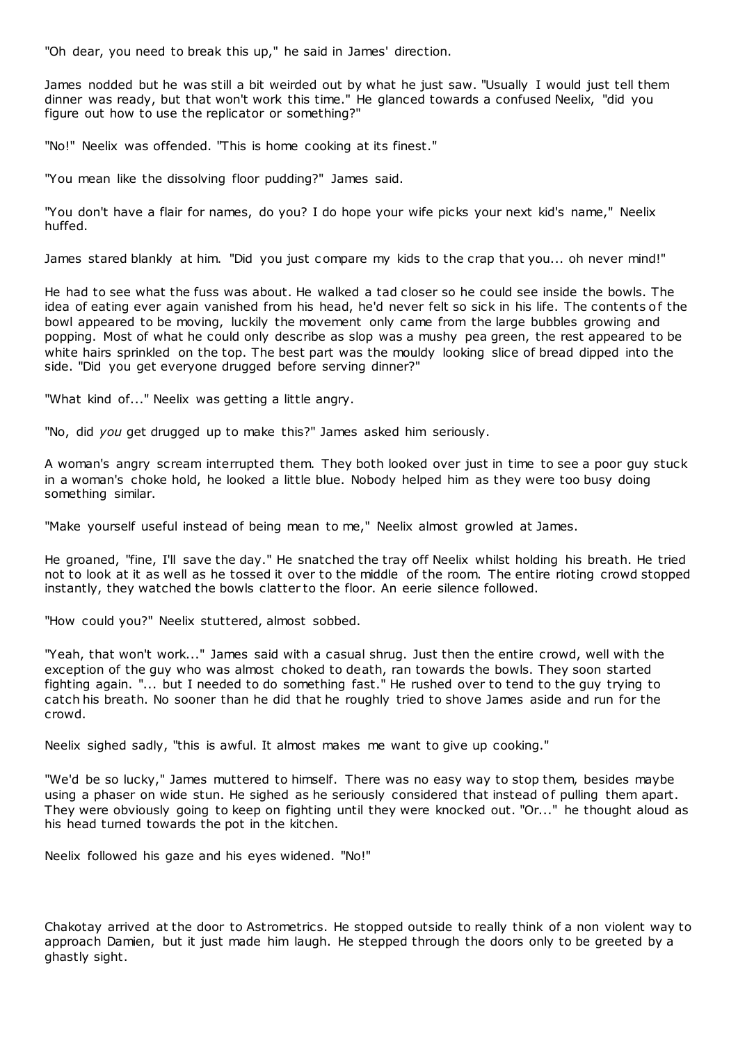"Oh dear, you need to break this up," he said in James' direction.

James nodded but he was still a bit weirded out by what he just saw. "Usually I would just tell them dinner was ready, but that won't work this time." He glanced towards a confused Neelix, "did you figure out how to use the replicator or something?"

"No!" Neelix was offended. "This is home cooking at its finest."

"You mean like the dissolving floor pudding?" James said.

"You don't have a flair for names, do you? I do hope your wife picks your next kid's name," Neelix huffed.

James stared blankly at him. "Did you just compare my kids to the crap that you... oh never mind!"

He had to see what the fuss was about. He walked a tad closer so he could see inside the bowls. The idea of eating ever again vanished from his head, he'd never felt so sick in his life. The contents of the bowl appeared to be moving, luckily the movement only came from the large bubbles growing and popping. Most of what he could only describe as slop was a mushy pea green, the rest appeared to be white hairs sprinkled on the top. The best part was the mouldy looking slice of bread dipped into the side. "Did you get everyone drugged before serving dinner?"

"What kind of..." Neelix was getting a little angry.

"No, did *you* get drugged up to make this?" James asked him seriously.

A woman's angry scream interrupted them. They both looked over just in time to see a poor guy stuck in a woman's choke hold, he looked a little blue. Nobody helped him as they were too busy doing something similar.

"Make yourself useful instead of being mean to me," Neelix almost growled at James.

He groaned, "fine, I'll save the day." He snatched the tray off Neelix whilst holding his breath. He tried not to look at it as well as he tossed it over to the middle of the room. The entire rioting crowd stopped instantly, they watched the bowls clatter to the floor. An eerie silence followed.

"How could you?" Neelix stuttered, almost sobbed.

"Yeah, that won't work..." James said with a casual shrug. Just then the entire crowd, well with the exception of the guy who was almost choked to death, ran towards the bowls. They soon started fighting again. "... but I needed to do something fast." He rushed over to tend to the guy trying to catch his breath. No sooner than he did that he roughly tried to shove James aside and run for the crowd.

Neelix sighed sadly, "this is awful. It almost makes me want to give up cooking."

"We'd be so lucky," James muttered to himself. There was no easy way to stop them, besides maybe using a phaser on wide stun. He sighed as he seriously considered that instead of pulling them apart. They were obviously going to keep on fighting until they were knocked out. "Or..." he thought aloud as his head turned towards the pot in the kitchen.

Neelix followed his gaze and his eyes widened. "No!"

Chakotay arrived at the door to Astrometrics. He stopped outside to really think of a non violent way to approach Damien, but it just made him laugh. He stepped through the doors only to be greeted by a ghastly sight.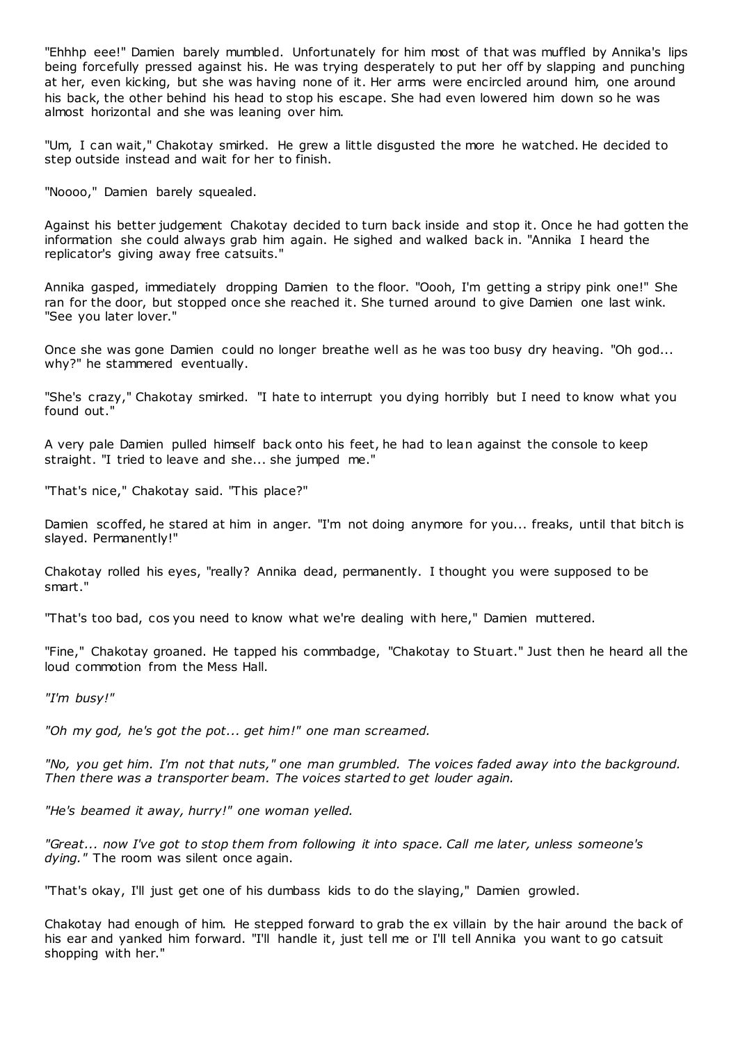"Ehhhp eee!" Damien barely mumbled. Unfortunately for him most of that was muffled by Annika's lips being forcefully pressed against his. He was trying desperately to put her off by slapping and punching at her, even kicking, but she was having none of it. Her arms were encircled around him, one around his back, the other behind his head to stop his escape. She had even lowered him down so he was almost horizontal and she was leaning over him.

"Um, I can wait," Chakotay smirked. He grew a little disgusted the more he watched. He decided to step outside instead and wait for her to finish.

"Noooo," Damien barely squealed.

Against his better judgement Chakotay decided to turn back inside and stop it. Once he had gotten the information she could always grab him again. He sighed and walked back in. "Annika I heard the replicator's giving away free catsuits."

Annika gasped, immediately dropping Damien to the floor. "Oooh, I'm getting a stripy pink one!" She ran for the door, but stopped once she reached it. She turned around to give Damien one last wink. "See you later lover."

Once she was gone Damien could no longer breathe well as he was too busy dry heaving. "Oh god... why?" he stammered eventually.

"She's crazy," Chakotay smirked. "I hate to interrupt you dying horribly but I need to know what you found out."

A very pale Damien pulled himself back onto his feet, he had to lean against the console to keep straight. "I tried to leave and she... she jumped me."

"That's nice," Chakotay said. "This place?"

Damien scoffed, he stared at him in anger. "I'm not doing anymore for you... freaks, until that bitch is slayed. Permanently!"

Chakotay rolled his eyes, "really? Annika dead, permanently. I thought you were supposed to be smart."

"That's too bad, cos you need to know what we're dealing with here," Damien muttered.

"Fine," Chakotay groaned. He tapped his commbadge, "Chakotay to Stuart." Just then he heard all the loud commotion from the Mess Hall.

*"I'm busy!"*

*"Oh my god, he's got the pot... get him!" one man screamed.*

*"No, you get him. I'm not that nuts," one man grumbled. The voices faded away into the background. Then there was a transporter beam. The voices started to get louder again.*

*"He's beamed it away, hurry!" one woman yelled.*

*"Great... now I've got to stop them from following it into space. Call me later, unless someone's dying."* The room was silent once again.

"That's okay, I'll just get one of his dumbass kids to do the slaying," Damien growled.

Chakotay had enough of him. He stepped forward to grab the ex villain by the hair around the back of his ear and yanked him forward. "I'll handle it, just tell me or I'll tell Annika you want to go catsuit shopping with her."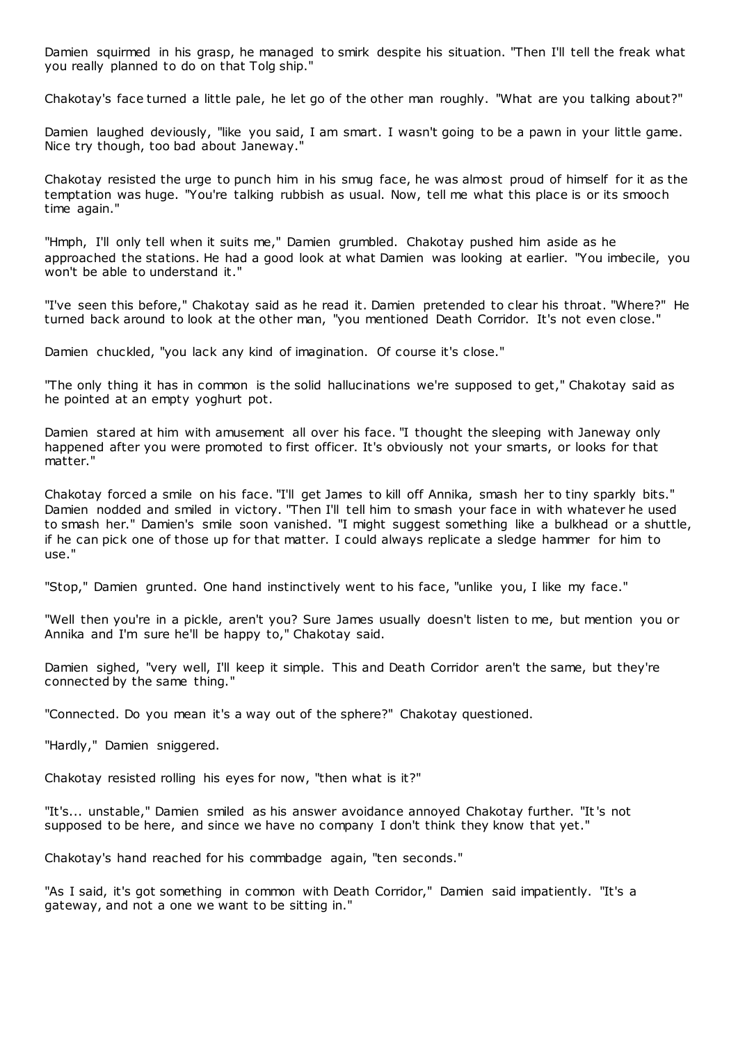Damien squirmed in his grasp, he managed to smirk despite his situation. "Then I'll tell the freak what you really planned to do on that Tolg ship."

Chakotay's face turned a little pale, he let go of the other man roughly. "What are you talking about?"

Damien laughed deviously, "like you said, I am smart. I wasn't going to be a pawn in your little game. Nice try though, too bad about Janeway."

Chakotay resisted the urge to punch him in his smug face, he was almost proud of himself for it as the temptation was huge. "You're talking rubbish as usual. Now, tell me what this place is or its smooch time again."

"Hmph, I'll only tell when it suits me," Damien grumbled. Chakotay pushed him aside as he approached the stations. He had a good look at what Damien was looking at earlier. "You imbecile, you won't be able to understand it."

"I've seen this before," Chakotay said as he read it. Damien pretended to clear his throat. "Where?" He turned back around to look at the other man, "you mentioned Death Corridor. It's not even close."

Damien chuckled, "you lack any kind of imagination. Of course it's close."

"The only thing it has in common is the solid hallucinations we're supposed to get," Chakotay said as he pointed at an empty yoghurt pot.

Damien stared at him with amusement all over his face. "I thought the sleeping with Janeway only happened after you were promoted to first officer. It's obviously not your smarts, or looks for that matter."

Chakotay forced a smile on his face. "I'll get James to kill off Annika, smash her to tiny sparkly bits." Damien nodded and smiled in victory. "Then I'll tell him to smash your face in with whatever he used to smash her." Damien's smile soon vanished. "I might suggest something like a bulkhead or a shuttle, if he can pick one of those up for that matter. I could always replicate a sledge hammer for him to use."

"Stop," Damien grunted. One hand instinctively went to his face, "unlike you, I like my face."

"Well then you're in a pickle, aren't you? Sure James usually doesn't listen to me, but mention you or Annika and I'm sure he'll be happy to," Chakotay said.

Damien sighed, "very well, I'll keep it simple. This and Death Corridor aren't the same, but they're connected by the same thing."

"Connected. Do you mean it's a way out of the sphere?" Chakotay questioned.

"Hardly," Damien sniggered.

Chakotay resisted rolling his eyes for now, "then what is it?"

"It's... unstable," Damien smiled as his answer avoidance annoyed Chakotay further. "It's not supposed to be here, and since we have no company I don't think they know that yet."

Chakotay's hand reached for his commbadge again, "ten seconds."

"As I said, it's got something in common with Death Corridor," Damien said impatiently. "It's a gateway, and not a one we want to be sitting in."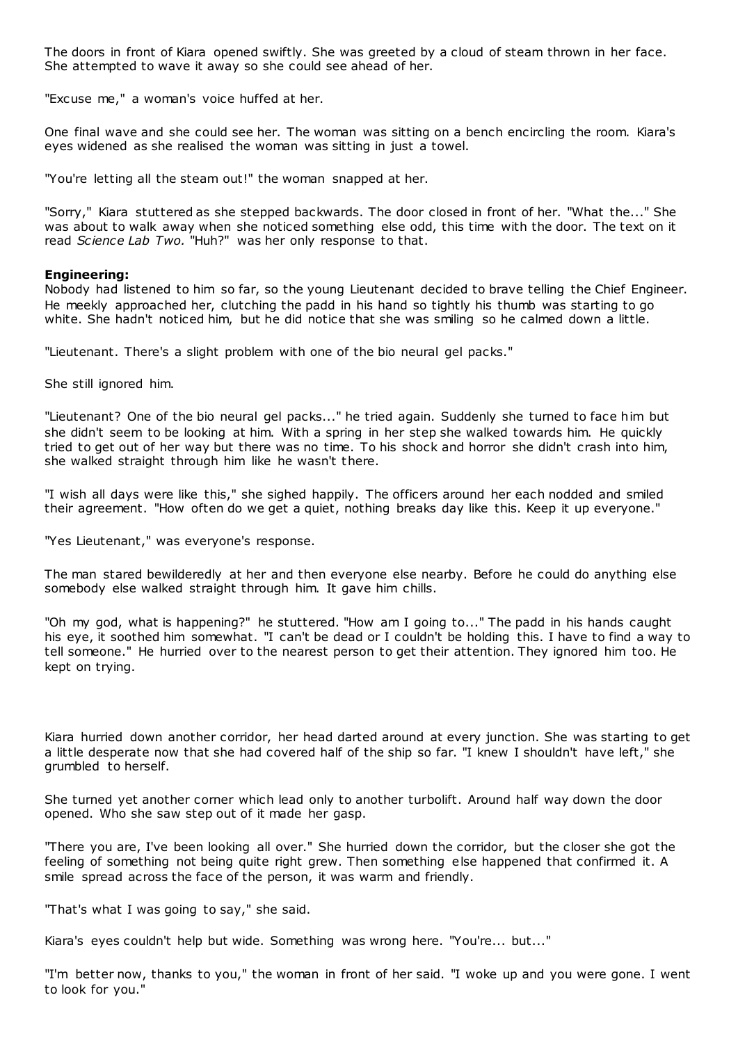The doors in front of Kiara opened swiftly. She was greeted by a cloud of steam thrown in her face. She attempted to wave it away so she could see ahead of her.

"Excuse me," a woman's voice huffed at her.

One final wave and she could see her. The woman was sitting on a bench encircling the room. Kiara's eyes widened as she realised the woman was sitting in just a towel.

"You're letting all the steam out!" the woman snapped at her.

"Sorry," Kiara stuttered as she stepped backwards. The door closed in front of her. "What the..." She was about to walk away when she noticed something else odd, this time with the door. The text on it read *Science Lab Two.* "Huh?" was her only response to that.

# **Engineering:**

Nobody had listened to him so far, so the young Lieutenant decided to brave telling the Chief Engineer. He meekly approached her, clutching the padd in his hand so tightly his thumb was starting to go white. She hadn't noticed him, but he did notice that she was smiling so he calmed down a little.

"Lieutenant. There's a slight problem with one of the bio neural gel packs."

She still ignored him.

"Lieutenant? One of the bio neural gel packs..." he tried again. Suddenly she turned to face him but she didn't seem to be looking at him. With a spring in her step she walked towards him. He quickly tried to get out of her way but there was no time. To his shock and horror she didn't crash into him, she walked straight through him like he wasn't there.

"I wish all days were like this," she sighed happily. The officers around her each nodded and smiled their agreement. "How often do we get a quiet, nothing breaks day like this. Keep it up everyone."

"Yes Lieutenant," was everyone's response.

The man stared bewilderedly at her and then everyone else nearby. Before he could do anything else somebody else walked straight through him. It gave him chills.

"Oh my god, what is happening?" he stuttered. "How am I going to..." The padd in his hands caught his eye, it soothed him somewhat. "I can't be dead or I couldn't be holding this. I have to find a way to tell someone." He hurried over to the nearest person to get their attention. They ignored him too. He kept on trying.

Kiara hurried down another corridor, her head darted around at every junction. She was starting to get a little desperate now that she had covered half of the ship so far. "I knew I shouldn't have left," she grumbled to herself.

She turned yet another corner which lead only to another turbolift. Around half way down the door opened. Who she saw step out of it made her gasp.

"There you are, I've been looking all over." She hurried down the corridor, but the closer she got the feeling of something not being quite right grew. Then something else happened that confirmed it. A smile spread across the face of the person, it was warm and friendly.

"That's what I was going to say," she said.

Kiara's eyes couldn't help but wide. Something was wrong here. "You're... but..."

"I'm better now, thanks to you," the woman in front of her said. "I woke up and you were gone. I went to look for you."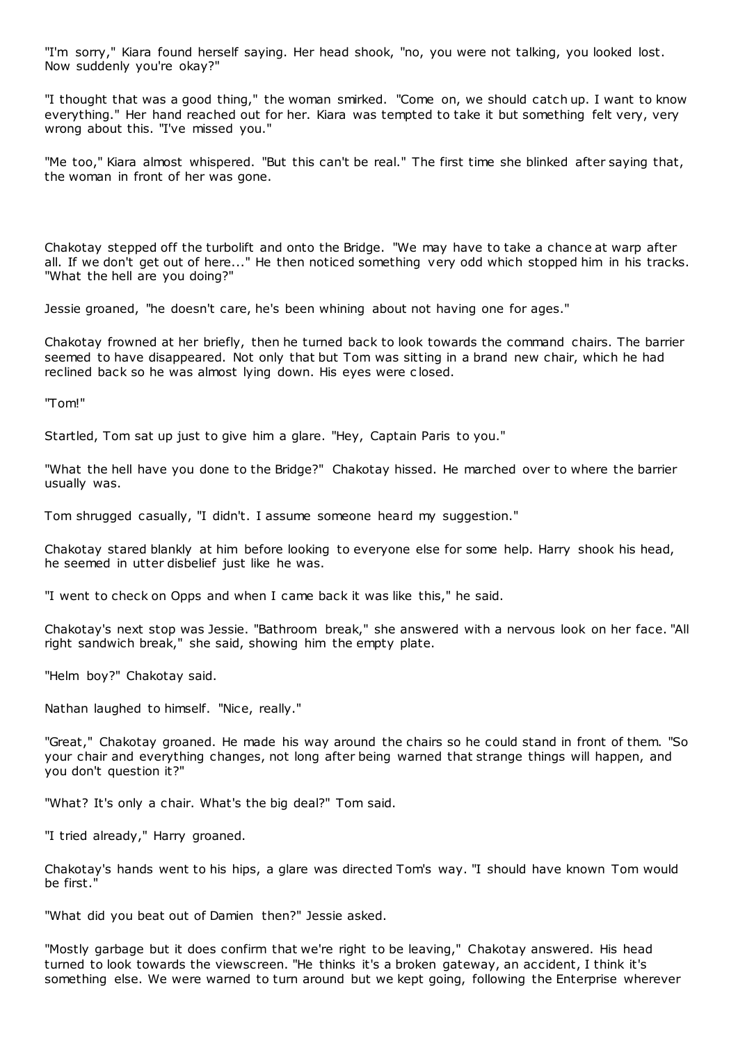"I'm sorry," Kiara found herself saying. Her head shook, "no, you were not talking, you looked lost. Now suddenly you're okay?"

"I thought that was a good thing," the woman smirked. "Come on, we should catch up. I want to know everything." Her hand reached out for her. Kiara was tempted to take it but something felt very, very wrong about this. "I've missed you."

"Me too," Kiara almost whispered. "But this can't be real." The first time she blinked after saying that, the woman in front of her was gone.

Chakotay stepped off the turbolift and onto the Bridge. "We may have to take a chance at warp after all. If we don't get out of here..." He then noticed something very odd which stopped him in his tracks. "What the hell are you doing?"

Jessie groaned, "he doesn't care, he's been whining about not having one for ages."

Chakotay frowned at her briefly, then he turned back to look towards the command chairs. The barrier seemed to have disappeared. Not only that but Tom was sitting in a brand new chair, which he had reclined back so he was almost lying down. His eyes were c losed.

"Tom!"

Startled, Tom sat up just to give him a glare. "Hey, Captain Paris to you."

"What the hell have you done to the Bridge?" Chakotay hissed. He marched over to where the barrier usually was.

Tom shrugged casually, "I didn't. I assume someone heard my suggestion."

Chakotay stared blankly at him before looking to everyone else for some help. Harry shook his head, he seemed in utter disbelief just like he was.

"I went to check on Opps and when I came back it was like this," he said.

Chakotay's next stop was Jessie. "Bathroom break," she answered with a nervous look on her face. "All right sandwich break," she said, showing him the empty plate.

"Helm boy?" Chakotay said.

Nathan laughed to himself. "Nice, really."

"Great," Chakotay groaned. He made his way around the chairs so he could stand in front of them. "So your chair and everything changes, not long after being warned that strange things will happen, and you don't question it?"

"What? It's only a chair. What's the big deal?" Tom said.

"I tried already," Harry groaned.

Chakotay's hands went to his hips, a glare was directed Tom's way. "I should have known Tom would be first."

"What did you beat out of Damien then?" Jessie asked.

"Mostly garbage but it does confirm that we're right to be leaving," Chakotay answered. His head turned to look towards the viewscreen. "He thinks it's a broken gateway, an accident, I think it's something else. We were warned to turn around but we kept going, following the Enterprise wherever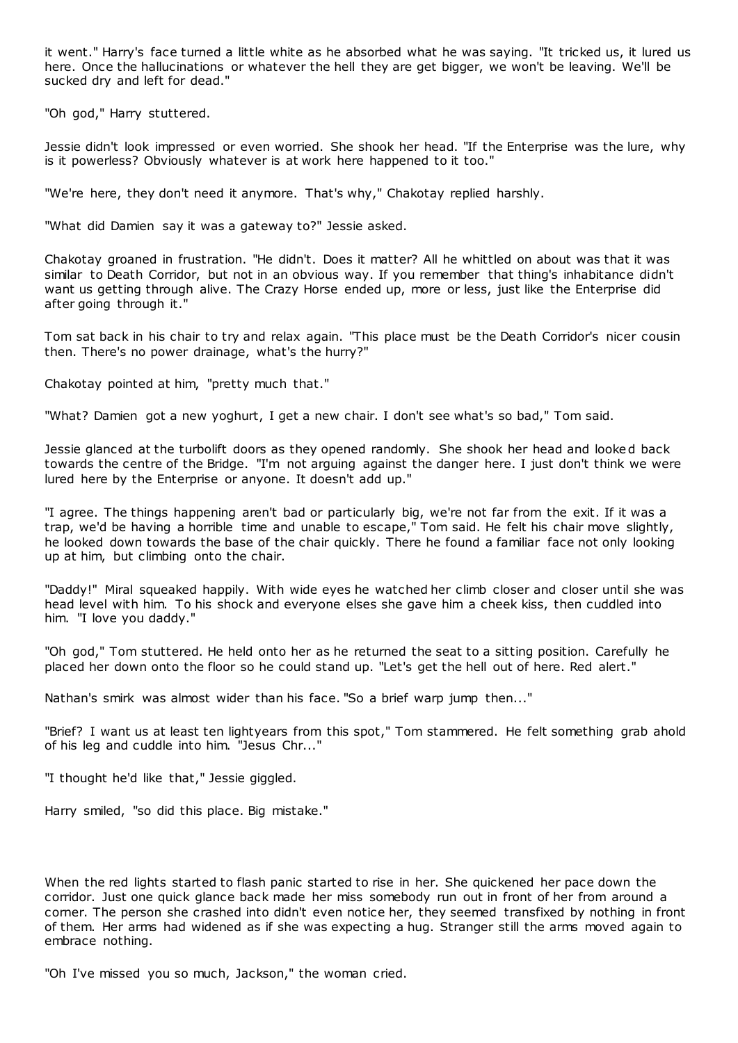it went." Harry's face turned a little white as he absorbed what he was saying. "It tricked us, it lured us here. Once the hallucinations or whatever the hell they are get bigger, we won't be leaving. We'll be sucked dry and left for dead."

"Oh god," Harry stuttered.

Jessie didn't look impressed or even worried. She shook her head. "If the Enterprise was the lure, why is it powerless? Obviously whatever is at work here happened to it too."

"We're here, they don't need it anymore. That's why," Chakotay replied harshly.

"What did Damien say it was a gateway to?" Jessie asked.

Chakotay groaned in frustration. "He didn't. Does it matter? All he whittled on about was that it was similar to Death Corridor, but not in an obvious way. If you remember that thing's inhabitance didn't want us getting through alive. The Crazy Horse ended up, more or less, just like the Enterprise did after going through it."

Tom sat back in his chair to try and relax again. "This place must be the Death Corridor's nicer cousin then. There's no power drainage, what's the hurry?"

Chakotay pointed at him, "pretty much that."

"What? Damien got a new yoghurt, I get a new chair. I don't see what's so bad," Tom said.

Jessie glanced at the turbolift doors as they opened randomly. She shook her head and looked back towards the centre of the Bridge. "I'm not arguing against the danger here. I just don't think we were lured here by the Enterprise or anyone. It doesn't add up."

"I agree. The things happening aren't bad or particularly big, we're not far from the exit. If it was a trap, we'd be having a horrible time and unable to escape," Tom said. He felt his chair move slightly, he looked down towards the base of the chair quickly. There he found a familiar face not only looking up at him, but climbing onto the chair.

"Daddy!" Miral squeaked happily. With wide eyes he watched her climb closer and closer until she was head level with him. To his shock and everyone elses she gave him a cheek kiss, then cuddled into him. "I love you daddy."

"Oh god," Tom stuttered. He held onto her as he returned the seat to a sitting position. Carefully he placed her down onto the floor so he could stand up. "Let's get the hell out of here. Red alert."

Nathan's smirk was almost wider than his face. "So a brief warp jump then..."

"Brief? I want us at least ten lightyears from this spot," Tom stammered. He felt something grab ahold of his leg and cuddle into him. "Jesus Chr..."

"I thought he'd like that," Jessie giggled.

Harry smiled, "so did this place. Big mistake."

When the red lights started to flash panic started to rise in her. She quickened her pace down the corridor. Just one quick glance back made her miss somebody run out in front of her from around a corner. The person she crashed into didn't even notice her, they seemed transfixed by nothing in front of them. Her arms had widened as if she was expecting a hug. Stranger still the arms moved again to embrace nothing.

"Oh I've missed you so much, Jackson," the woman cried.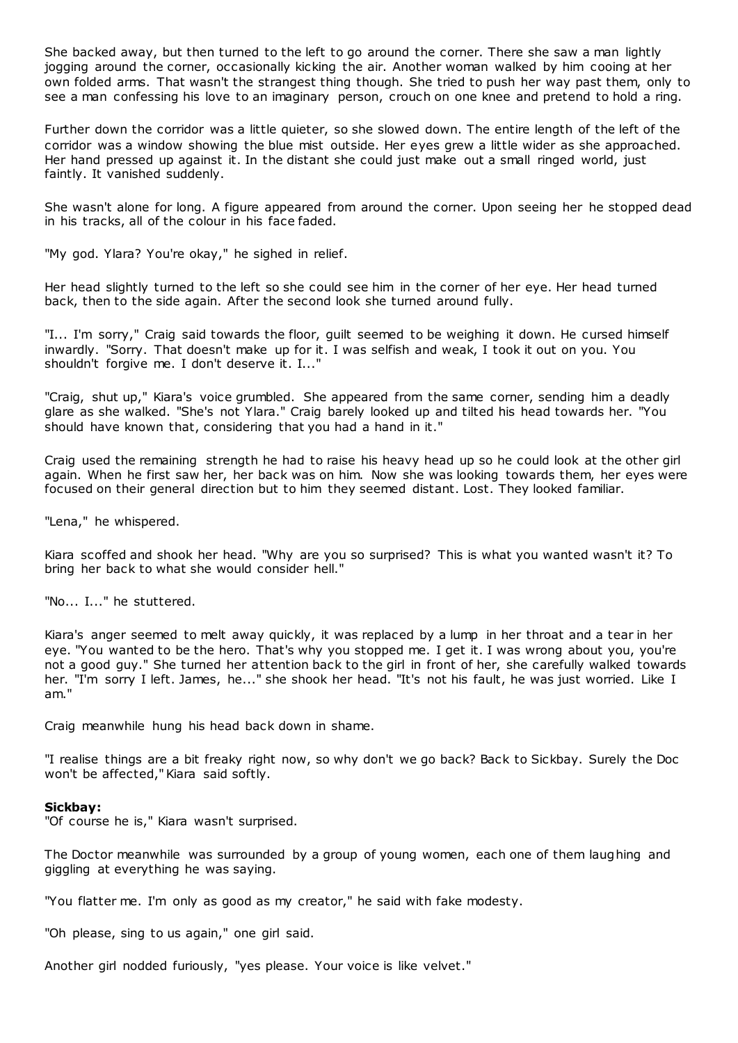She backed away, but then turned to the left to go around the corner. There she saw a man lightly jogging around the corner, occasionally kicking the air. Another woman walked by him cooing at her own folded arms. That wasn't the strangest thing though. She tried to push her way past them, only to see a man confessing his love to an imaginary person, crouch on one knee and pretend to hold a ring.

Further down the corridor was a little quieter, so she slowed down. The entire length of the left of the corridor was a window showing the blue mist outside. Her eyes grew a little wider as she approached. Her hand pressed up against it. In the distant she could just make out a small ringed world, just faintly. It vanished suddenly.

She wasn't alone for long. A figure appeared from around the corner. Upon seeing her he stopped dead in his tracks, all of the colour in his face faded.

"My god. Ylara? You're okay," he sighed in relief.

Her head slightly turned to the left so she could see him in the corner of her eye. Her head turned back, then to the side again. After the second look she turned around fully.

"I... I'm sorry," Craig said towards the floor, guilt seemed to be weighing it down. He cursed himself inwardly. "Sorry. That doesn't make up for it. I was selfish and weak, I took it out on you. You shouldn't forgive me. I don't deserve it. I..."

"Craig, shut up," Kiara's voice grumbled. She appeared from the same corner, sending him a deadly glare as she walked. "She's not Ylara." Craig barely looked up and tilted his head towards her. "You should have known that, considering that you had a hand in it."

Craig used the remaining strength he had to raise his heavy head up so he could look at the other girl again. When he first saw her, her back was on him. Now she was looking towards them, her eyes were focused on their general direction but to him they seemed distant. Lost. They looked familiar.

"Lena," he whispered.

Kiara scoffed and shook her head. "Why are you so surprised? This is what you wanted wasn't it? To bring her back to what she would consider hell."

"No... I..." he stuttered.

Kiara's anger seemed to melt away quickly, it was replaced by a lump in her throat and a tear in her eye. "You wanted to be the hero. That's why you stopped me. I get it. I was wrong about you, you're not a good guy." She turned her attention back to the girl in front of her, she carefully walked towards her. "I'm sorry I left. James, he..." she shook her head. "It's not his fault, he was just worried. Like I am."

Craig meanwhile hung his head back down in shame.

"I realise things are a bit freaky right now, so why don't we go back? Back to Sickbay. Surely the Doc won't be affected," Kiara said softly.

#### **Sickbay:**

"Of course he is," Kiara wasn't surprised.

The Doctor meanwhile was surrounded by a group of young women, each one of them laughing and giggling at everything he was saying.

"You flatter me. I'm only as good as my creator," he said with fake modesty.

"Oh please, sing to us again," one girl said.

Another girl nodded furiously, "yes please. Your voice is like velvet."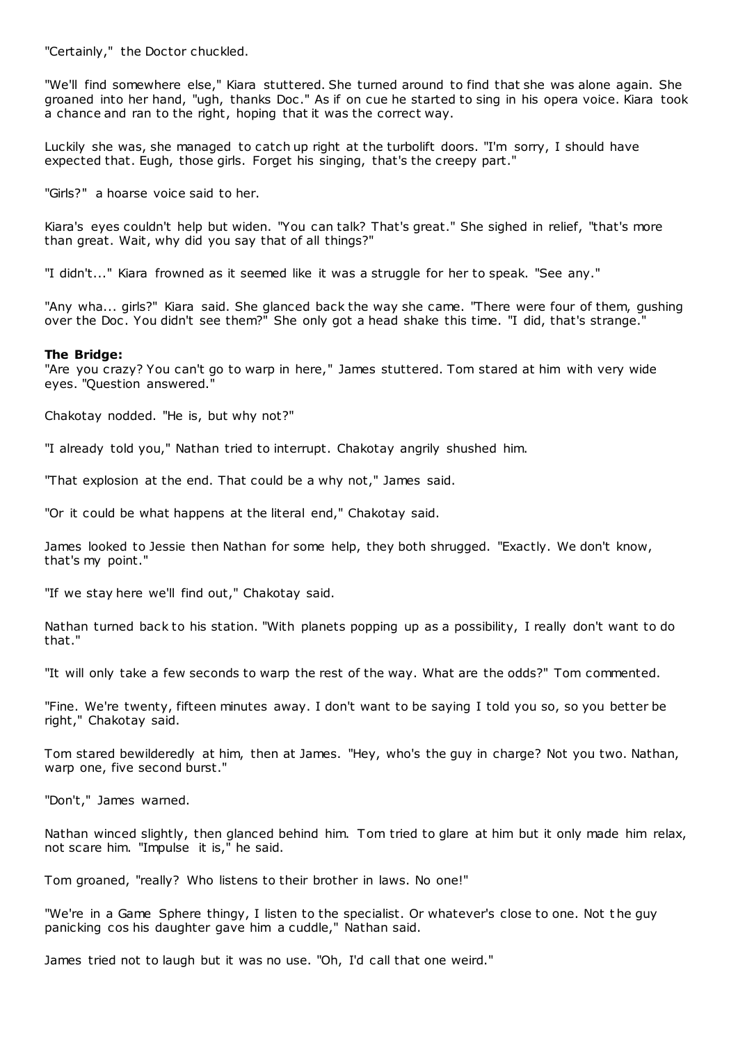"Certainly," the Doctor chuckled.

"We'll find somewhere else," Kiara stuttered. She turned around to find that she was alone again. She groaned into her hand, "ugh, thanks Doc ." As if on cue he started to sing in his opera voice. Kiara took a chance and ran to the right, hoping that it was the correct way.

Luckily she was, she managed to catch up right at the turbolift doors. "I'm sorry, I should have expected that. Eugh, those girls. Forget his singing, that's the creepy part."

"Girls?" a hoarse voice said to her.

Kiara's eyes couldn't help but widen. "You can talk? That's great." She sighed in relief, "that's more than great. Wait, why did you say that of all things?"

"I didn't..." Kiara frowned as it seemed like it was a struggle for her to speak. "See any."

"Any wha... girls?" Kiara said. She glanced back the way she came. "There were four of them, gushing over the Doc . You didn't see them?" She only got a head shake this time. "I did, that's strange."

#### **The Bridge:**

"Are you crazy? You can't go to warp in here," James stuttered. Tom stared at him with very wide eyes. "Question answered."

Chakotay nodded. "He is, but why not?"

"I already told you," Nathan tried to interrupt. Chakotay angrily shushed him.

"That explosion at the end. That could be a why not," James said.

"Or it could be what happens at the literal end," Chakotay said.

James looked to Jessie then Nathan for some help, they both shrugged. "Exactly. We don't know, that's my point."

"If we stay here we'll find out," Chakotay said.

Nathan turned back to his station. "With planets popping up as a possibility, I really don't want to do that."

"It will only take a few seconds to warp the rest of the way. What are the odds?" Tom commented.

"Fine. We're twenty, fifteen minutes away. I don't want to be saying I told you so, so you better be right," Chakotay said.

Tom stared bewilderedly at him, then at James. "Hey, who's the guy in charge? Not you two. Nathan, warp one, five second burst."

"Don't," James warned.

Nathan winced slightly, then glanced behind him. Tom tried to glare at him but it only made him relax, not scare him. "Impulse it is," he said.

Tom groaned, "really? Who listens to their brother in laws. No one!"

"We're in a Game Sphere thingy, I listen to the specialist. Or whatever's close to one. Not t he guy panicking cos his daughter gave him a cuddle," Nathan said.

James tried not to laugh but it was no use. "Oh, I'd call that one weird."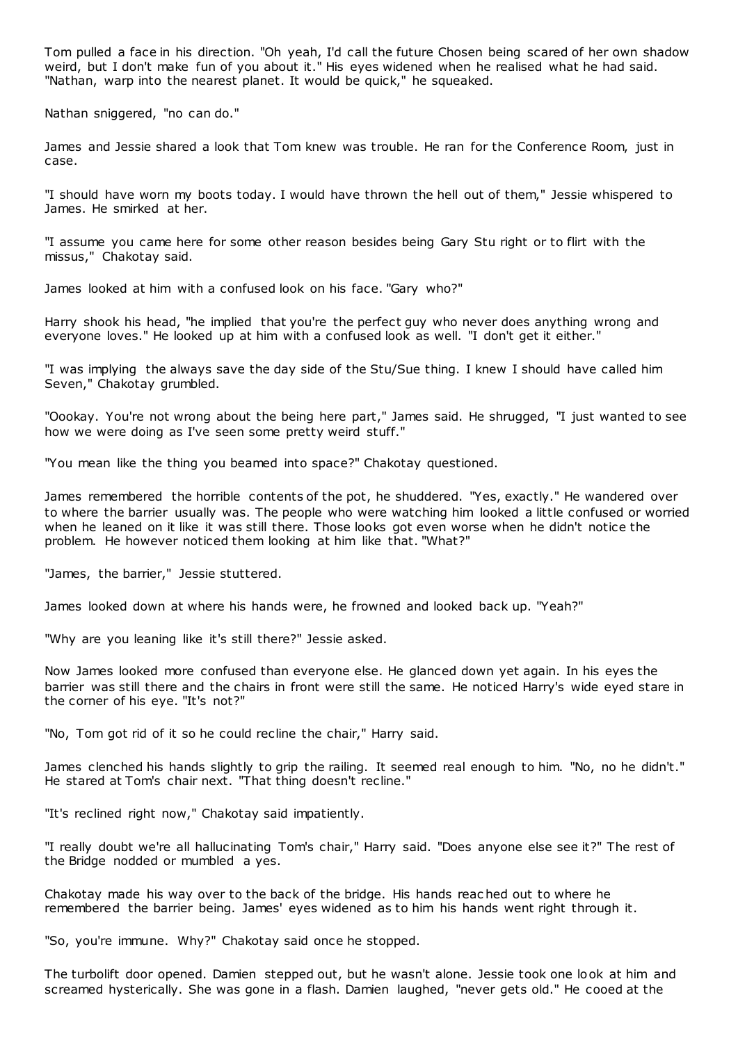Tom pulled a face in his direction. "Oh yeah, I'd call the future Chosen being scared of her own shadow weird, but I don't make fun of you about it." His eyes widened when he realised what he had said. "Nathan, warp into the nearest planet. It would be quick," he squeaked.

Nathan sniggered, "no can do."

James and Jessie shared a look that Tom knew was trouble. He ran for the Conference Room, just in case.

"I should have worn my boots today. I would have thrown the hell out of them," Jessie whispered to James. He smirked at her.

"I assume you came here for some other reason besides being Gary Stu right or to flirt with the missus," Chakotay said.

James looked at him with a confused look on his face. "Gary who?"

Harry shook his head, "he implied that you're the perfect guy who never does anything wrong and everyone loves." He looked up at him with a confused look as well. "I don't get it either."

"I was implying the always save the day side of the Stu/Sue thing. I knew I should have called him Seven," Chakotay grumbled.

"Oookay. You're not wrong about the being here part," James said. He shrugged, "I just wanted to see how we were doing as I've seen some pretty weird stuff."

"You mean like the thing you beamed into space?" Chakotay questioned.

James remembered the horrible contents of the pot, he shuddered. "Yes, exactly." He wandered over to where the barrier usually was. The people who were watching him looked a little confused or worried when he leaned on it like it was still there. Those looks got even worse when he didn't notice the problem. He however noticed them looking at him like that. "What?"

"James, the barrier," Jessie stuttered.

James looked down at where his hands were, he frowned and looked back up. "Yeah?"

"Why are you leaning like it's still there?" Jessie asked.

Now James looked more confused than everyone else. He glanced down yet again. In his eyes the barrier was still there and the chairs in front were still the same. He noticed Harry's wide eyed stare in the corner of his eye. "It's not?"

"No, Tom got rid of it so he could recline the chair," Harry said.

James clenched his hands slightly to grip the railing. It seemed real enough to him. "No, no he didn't." He stared at Tom's chair next. "That thing doesn't recline."

"It's reclined right now," Chakotay said impatiently.

"I really doubt we're all hallucinating Tom's chair," Harry said. "Does anyone else see it?" The rest of the Bridge nodded or mumbled a yes.

Chakotay made his way over to the back of the bridge. His hands reac hed out to where he remembered the barrier being. James' eyes widened as to him his hands went right through it.

"So, you're immune. Why?" Chakotay said once he stopped.

The turbolift door opened. Damien stepped out, but he wasn't alone. Jessie took one look at him and screamed hysterically. She was gone in a flash. Damien laughed, "never gets old." He cooed at the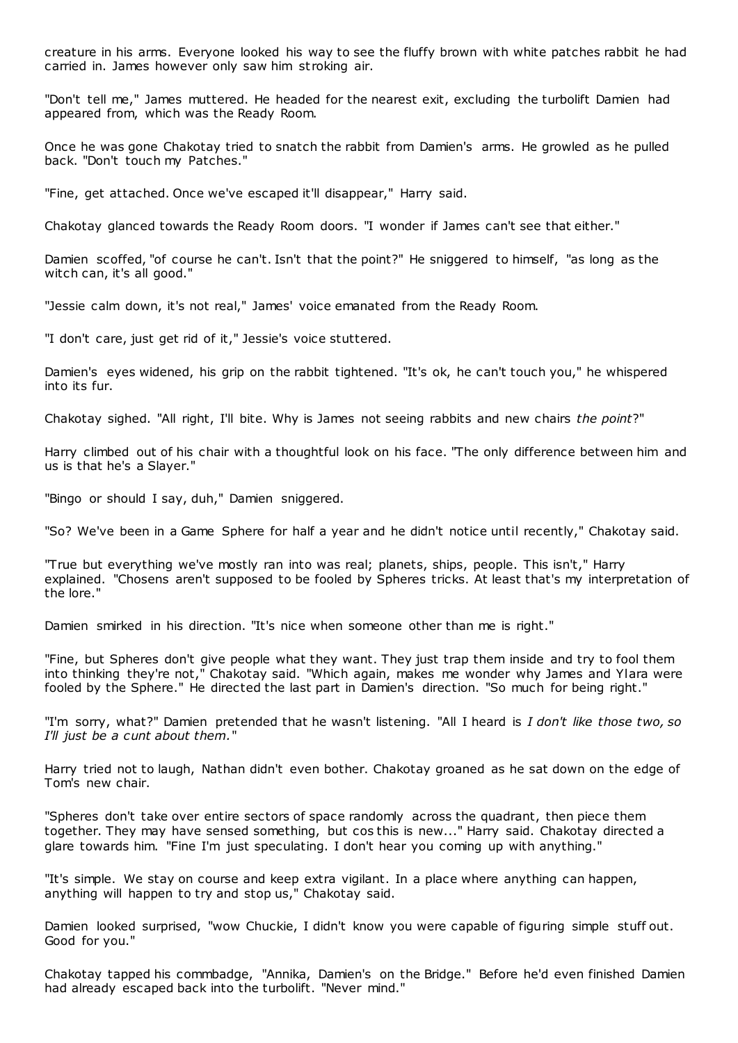creature in his arms. Everyone looked his way to see the fluffy brown with white patches rabbit he had carried in. James however only saw him stroking air.

"Don't tell me," James muttered. He headed for the nearest exit, excluding the turbolift Damien had appeared from, which was the Ready Room.

Once he was gone Chakotay tried to snatch the rabbit from Damien's arms. He growled as he pulled back. "Don't touch my Patches."

"Fine, get attached. Once we've escaped it'll disappear," Harry said.

Chakotay glanced towards the Ready Room doors. "I wonder if James can't see that either."

Damien scoffed, "of course he can't. Isn't that the point?" He sniggered to himself, "as long as the witch can, it's all good."

"Jessie calm down, it's not real," James' voice emanated from the Ready Room.

"I don't care, just get rid of it," Jessie's voice stuttered.

Damien's eyes widened, his grip on the rabbit tightened. "It's ok, he can't touch you," he whispered into its fur.

Chakotay sighed. "All right, I'll bite. Why is James not seeing rabbits and new chairs *the point*?"

Harry climbed out of his chair with a thoughtful look on his face. "The only difference between him and us is that he's a Slayer."

"Bingo or should I say, duh," Damien sniggered.

"So? We've been in a Game Sphere for half a year and he didn't notice until recently," Chakotay said.

"True but everything we've mostly ran into was real; planets, ships, people. This isn't," Harry explained. "Chosens aren't supposed to be fooled by Spheres tricks. At least that's my interpretation of the lore."

Damien smirked in his direction. "It's nice when someone other than me is right."

"Fine, but Spheres don't give people what they want. They just trap them inside and try to fool them into thinking they're not," Chakotay said. "Which again, makes me wonder why James and Ylara were fooled by the Sphere." He directed the last part in Damien's direction. "So much for being right."

"I'm sorry, what?" Damien pretended that he wasn't listening. "All I heard is *I don't like those two, so I'll just be a cunt about them.*"

Harry tried not to laugh, Nathan didn't even bother. Chakotay groaned as he sat down on the edge of Tom's new chair.

"Spheres don't take over entire sectors of space randomly across the quadrant, then piece them together. They may have sensed something, but cos this is new..." Harry said. Chakotay directed a glare towards him. "Fine I'm just speculating. I don't hear you coming up with anything."

"It's simple. We stay on course and keep extra vigilant. In a place where anything can happen, anything will happen to try and stop us," Chakotay said.

Damien looked surprised, "wow Chuckie, I didn't know you were capable of figuring simple stuff out. Good for you."

Chakotay tapped his commbadge, "Annika, Damien's on the Bridge." Before he'd even finished Damien had already escaped back into the turbolift. "Never mind."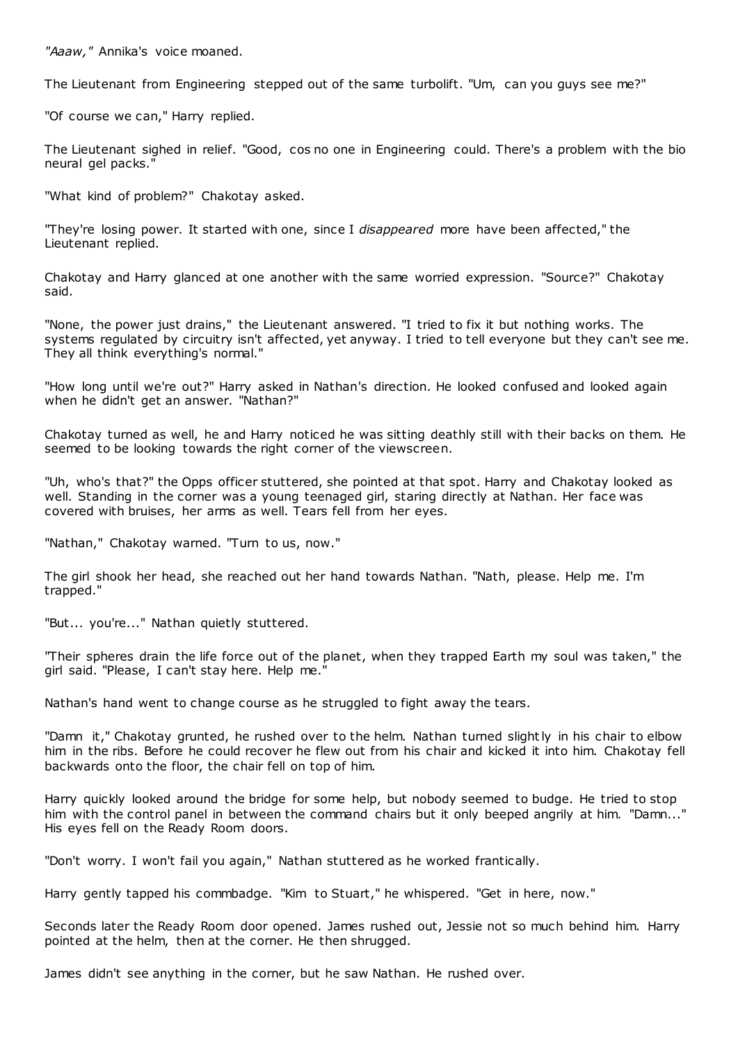*"Aaaw,"* Annika's voice moaned.

The Lieutenant from Engineering stepped out of the same turbolift. "Um, can you guys see me?"

"Of course we can," Harry replied.

The Lieutenant sighed in relief. "Good, cos no one in Engineering could. There's a problem with the bio neural gel packs."

"What kind of problem?" Chakotay asked.

"They're losing power. It started with one, since I *disappeared* more have been affected," the Lieutenant replied.

Chakotay and Harry glanced at one another with the same worried expression. "Source?" Chakotay said.

"None, the power just drains," the Lieutenant answered. "I tried to fix it but nothing works. The systems regulated by circuitry isn't affected, yet anyway. I tried to tell everyone but they can't see me. They all think everything's normal."

"How long until we're out?" Harry asked in Nathan's direction. He looked confused and looked again when he didn't get an answer. "Nathan?"

Chakotay turned as well, he and Harry noticed he was sitting deathly still with their backs on them. He seemed to be looking towards the right corner of the viewscreen.

"Uh, who's that?" the Opps officer stuttered, she pointed at that spot. Harry and Chakotay looked as well. Standing in the corner was a young teenaged girl, staring directly at Nathan. Her face was covered with bruises, her arms as well. Tears fell from her eyes.

"Nathan," Chakotay warned. "Turn to us, now."

The girl shook her head, she reached out her hand towards Nathan. "Nath, please. Help me. I'm trapped."

"But... you're..." Nathan quietly stuttered.

"Their spheres drain the life force out of the planet, when they trapped Earth my soul was taken," the girl said. "Please, I can't stay here. Help me."

Nathan's hand went to change course as he struggled to fight away the tears.

"Damn it," Chakotay grunted, he rushed over to the helm. Nathan turned slightly in his chair to elbow him in the ribs. Before he could recover he flew out from his chair and kicked it into him. Chakotay fell backwards onto the floor, the chair fell on top of him.

Harry quickly looked around the bridge for some help, but nobody seemed to budge. He tried to stop him with the control panel in between the command chairs but it only beeped angrily at him. "Damn..." His eyes fell on the Ready Room doors.

"Don't worry. I won't fail you again," Nathan stuttered as he worked frantically.

Harry gently tapped his commbadge. "Kim to Stuart," he whispered. "Get in here, now."

Seconds later the Ready Room door opened. James rushed out, Jessie not so much behind him. Harry pointed at the helm, then at the corner. He then shrugged.

James didn't see anything in the corner, but he saw Nathan. He rushed over.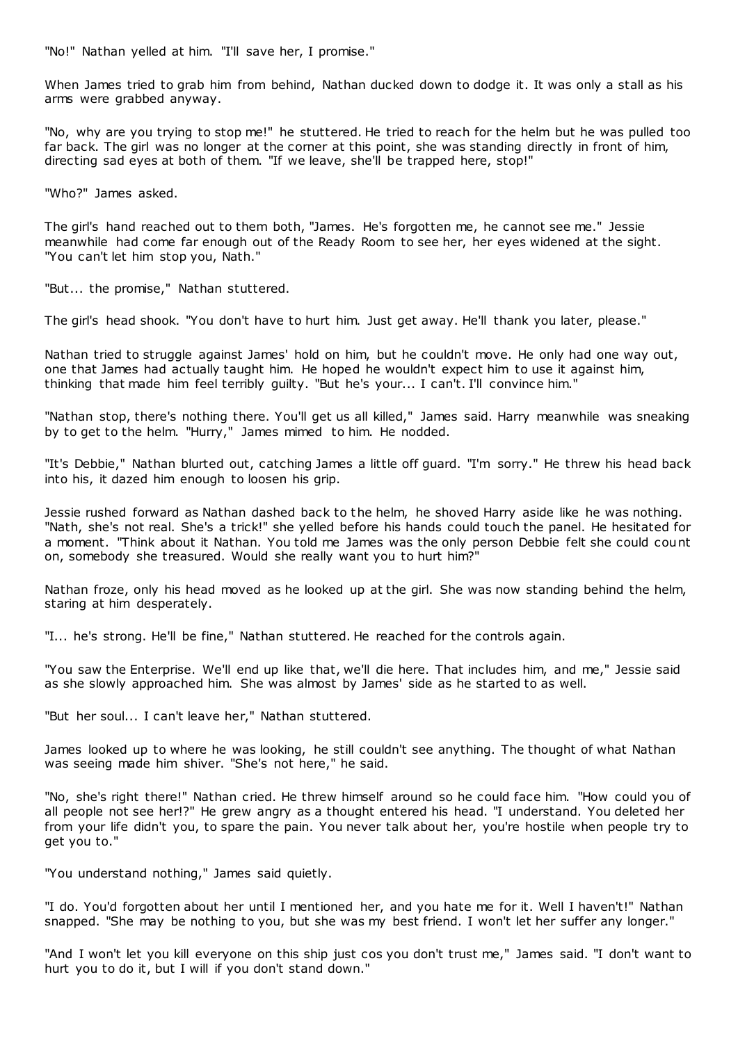"No!" Nathan yelled at him. "I'll save her, I promise."

When James tried to grab him from behind, Nathan ducked down to dodge it. It was only a stall as his arms were grabbed anyway.

"No, why are you trying to stop me!" he stuttered. He tried to reach for the helm but he was pulled too far back. The girl was no longer at the corner at this point, she was standing directly in front of him, directing sad eyes at both of them. "If we leave, she'll be trapped here, stop!"

"Who?" James asked.

The girl's hand reached out to them both, "James. He's forgotten me, he cannot see me." Jessie meanwhile had come far enough out of the Ready Room to see her, her eyes widened at the sight. "You can't let him stop you, Nath."

"But... the promise," Nathan stuttered.

The girl's head shook. "You don't have to hurt him. Just get away. He'll thank you later, please."

Nathan tried to struggle against James' hold on him, but he couldn't move. He only had one way out, one that James had actually taught him. He hoped he wouldn't expect him to use it against him, thinking that made him feel terribly guilty. "But he's your... I can't. I'll convince him."

"Nathan stop, there's nothing there. You'll get us all killed," James said. Harry meanwhile was sneaking by to get to the helm. "Hurry," James mimed to him. He nodded.

"It's Debbie," Nathan blurted out, catching James a little off guard. "I'm sorry." He threw his head back into his, it dazed him enough to loosen his grip.

Jessie rushed forward as Nathan dashed back to the helm, he shoved Harry aside like he was nothing. "Nath, she's not real. She's a trick!" she yelled before his hands could touch the panel. He hesitated for a moment. "Think about it Nathan. You told me James was the only person Debbie felt she could count on, somebody she treasured. Would she really want you to hurt him?"

Nathan froze, only his head moved as he looked up at the girl. She was now standing behind the helm, staring at him desperately.

"I... he's strong. He'll be fine," Nathan stuttered. He reached for the controls again.

"You saw the Enterprise. We'll end up like that, we'll die here. That includes him, and me," Jessie said as she slowly approached him. She was almost by James' side as he started to as well.

"But her soul... I can't leave her," Nathan stuttered.

James looked up to where he was looking, he still couldn't see anything. The thought of what Nathan was seeing made him shiver. "She's not here," he said.

"No, she's right there!" Nathan cried. He threw himself around so he could face him. "How could you of all people not see her!?" He grew angry as a thought entered his head. "I understand. You deleted her from your life didn't you, to spare the pain. You never talk about her, you're hostile when people try to get you to."

"You understand nothing," James said quietly.

"I do. You'd forgotten about her until I mentioned her, and you hate me for it. Well I haven't!" Nathan snapped. "She may be nothing to you, but she was my best friend. I won't let her suffer any longer."

"And I won't let you kill everyone on this ship just cos you don't trust me," James said. "I don't want to hurt you to do it, but I will if you don't stand down."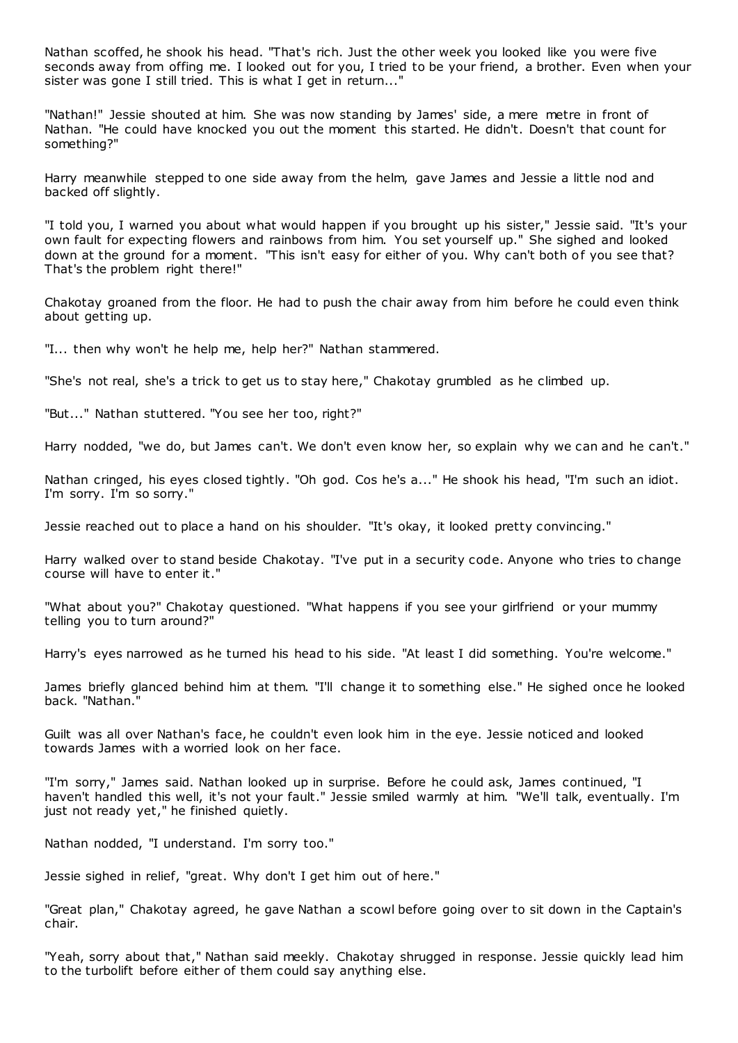Nathan scoffed, he shook his head. "That's rich. Just the other week you looked like you were five seconds away from offing me. I looked out for you, I tried to be your friend, a brother. Even when your sister was gone I still tried. This is what I get in return..."

"Nathan!" Jessie shouted at him. She was now standing by James' side, a mere metre in front of Nathan. "He could have knocked you out the moment this started. He didn't. Doesn't that count for something?"

Harry meanwhile stepped to one side away from the helm, gave James and Jessie a little nod and backed off slightly.

"I told you, I warned you about what would happen if you brought up his sister," Jessie said. "It's your own fault for expecting flowers and rainbows from him. You set yourself up." She sighed and looked down at the ground for a moment. "This isn't easy for either of you. Why can't both of you see that? That's the problem right there!"

Chakotay groaned from the floor. He had to push the chair away from him before he could even think about getting up.

"I... then why won't he help me, help her?" Nathan stammered.

"She's not real, she's a trick to get us to stay here," Chakotay grumbled as he climbed up.

"But..." Nathan stuttered. "You see her too, right?"

Harry nodded, "we do, but James can't. We don't even know her, so explain why we can and he can't."

Nathan cringed, his eyes closed tightly. "Oh god. Cos he's a..." He shook his head, "I'm such an idiot. I'm sorry. I'm so sorry."

Jessie reached out to place a hand on his shoulder. "It's okay, it looked pretty convincing."

Harry walked over to stand beside Chakotay. "I've put in a security code. Anyone who tries to change course will have to enter it."

"What about you?" Chakotay questioned. "What happens if you see your girlfriend or your mummy telling you to turn around?"

Harry's eyes narrowed as he turned his head to his side. "At least I did something. You're welcome."

James briefly glanced behind him at them. "I'll change it to something else." He sighed once he looked back. "Nathan."

Guilt was all over Nathan's face, he couldn't even look him in the eye. Jessie noticed and looked towards James with a worried look on her face.

"I'm sorry," James said. Nathan looked up in surprise. Before he could ask, James continued, "I haven't handled this well, it's not your fault." Jessie smiled warmly at him. "We'll talk, eventually. I'm just not ready yet," he finished quietly.

Nathan nodded, "I understand. I'm sorry too."

Jessie sighed in relief, "great. Why don't I get him out of here."

"Great plan," Chakotay agreed, he gave Nathan a scowl before going over to sit down in the Captain's chair.

"Yeah, sorry about that," Nathan said meekly. Chakotay shrugged in response. Jessie quickly lead him to the turbolift before either of them could say anything else.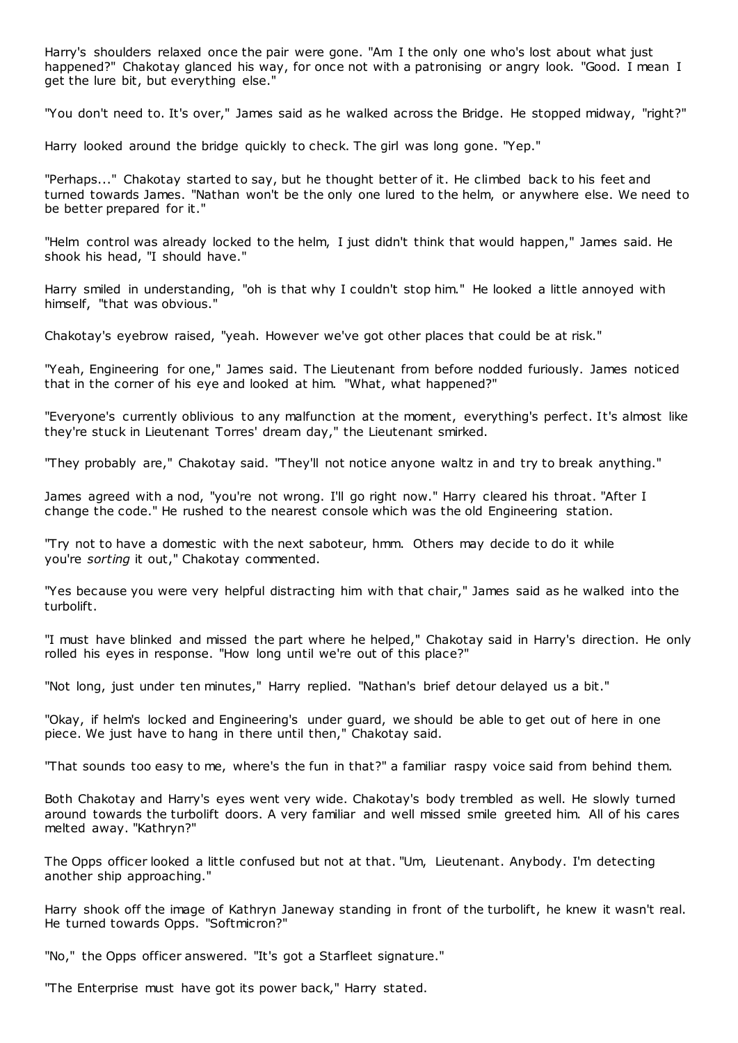Harry's shoulders relaxed once the pair were gone. "Am I the only one who's lost about what just happened?" Chakotay glanced his way, for once not with a patronising or angry look. "Good. I mean I get the lure bit, but everything else."

"You don't need to. It's over," James said as he walked across the Bridge. He stopped midway, "right?"

Harry looked around the bridge quickly to check. The girl was long gone. "Yep."

"Perhaps..." Chakotay started to say, but he thought better of it. He climbed back to his feet and turned towards James. "Nathan won't be the only one lured to the helm, or anywhere else. We need to be better prepared for it."

"Helm control was already locked to the helm, I just didn't think that would happen," James said. He shook his head, "I should have."

Harry smiled in understanding, "oh is that why I couldn't stop him." He looked a little annoyed with himself, "that was obvious."

Chakotay's eyebrow raised, "yeah. However we've got other places that could be at risk."

"Yeah, Engineering for one," James said. The Lieutenant from before nodded furiously. James noticed that in the corner of his eye and looked at him. "What, what happened?"

"Everyone's currently oblivious to any malfunction at the moment, everything's perfect. It's almost like they're stuck in Lieutenant Torres' dream day," the Lieutenant smirked.

"They probably are," Chakotay said. "They'll not notice anyone waltz in and try to break anything."

James agreed with a nod, "you're not wrong. I'll go right now." Harry cleared his throat. "After I change the code." He rushed to the nearest console which was the old Engineering station.

"Try not to have a domestic with the next saboteur, hmm. Others may decide to do it while you're *sorting* it out," Chakotay commented.

"Yes because you were very helpful distracting him with that chair," James said as he walked into the turbolift.

"I must have blinked and missed the part where he helped," Chakotay said in Harry's direction. He only rolled his eyes in response. "How long until we're out of this place?"

"Not long, just under ten minutes," Harry replied. "Nathan's brief detour delayed us a bit."

"Okay, if helm's locked and Engineering's under guard, we should be able to get out of here in one piece. We just have to hang in there until then," Chakotay said.

"That sounds too easy to me, where's the fun in that?" a familiar raspy voice said from behind them.

Both Chakotay and Harry's eyes went very wide. Chakotay's body trembled as well. He slowly turned around towards the turbolift doors. A very familiar and well missed smile greeted him. All of his cares melted away. "Kathryn?"

The Opps officer looked a little confused but not at that. "Um, Lieutenant. Anybody. I'm detecting another ship approaching."

Harry shook off the image of Kathryn Janeway standing in front of the turbolift, he knew it wasn't real. He turned towards Opps. "Softmicron?"

"No," the Opps officer answered. "It's got a Starfleet signature."

"The Enterprise must have got its power back," Harry stated.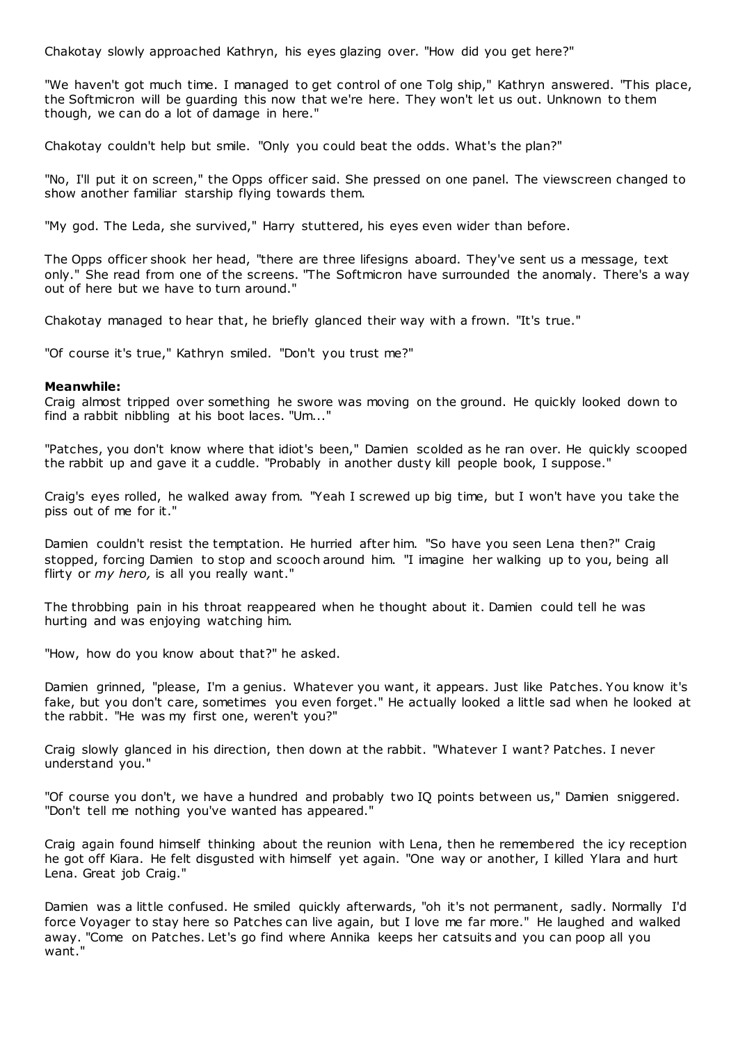Chakotay slowly approached Kathryn, his eyes glazing over. "How did you get here?"

"We haven't got much time. I managed to get control of one Tolg ship," Kathryn answered. "This place, the Softmicron will be guarding this now that we're here. They won't let us out. Unknown to them though, we can do a lot of damage in here."

Chakotay couldn't help but smile. "Only you could beat the odds. What's the plan?"

"No, I'll put it on screen," the Opps officer said. She pressed on one panel. The viewscreen changed to show another familiar starship flying towards them.

"My god. The Leda, she survived," Harry stuttered, his eyes even wider than before.

The Opps officer shook her head, "there are three lifesigns aboard. They've sent us a message, text only." She read from one of the screens. "The Softmicron have surrounded the anomaly. There's a way out of here but we have to turn around."

Chakotay managed to hear that, he briefly glanced their way with a frown. "It's true."

"Of course it's true," Kathryn smiled. "Don't you trust me?"

## **Meanwhile:**

Craig almost tripped over something he swore was moving on the ground. He quickly looked down to find a rabbit nibbling at his boot laces. "Um..."

"Patches, you don't know where that idiot's been," Damien scolded as he ran over. He quickly scooped the rabbit up and gave it a cuddle. "Probably in another dusty kill people book, I suppose."

Craig's eyes rolled, he walked away from. "Yeah I screwed up big time, but I won't have you take the piss out of me for it."

Damien couldn't resist the temptation. He hurried after him. "So have you seen Lena then?" Craig stopped, forcing Damien to stop and scooch around him. "I imagine her walking up to you, being all flirty or *my hero,* is all you really want."

The throbbing pain in his throat reappeared when he thought about it. Damien could tell he was hurting and was enjoying watching him.

"How, how do you know about that?" he asked.

Damien grinned, "please, I'm a genius. Whatever you want, it appears. Just like Patches. You know it's fake, but you don't care, sometimes you even forget." He actually looked a little sad when he looked at the rabbit. "He was my first one, weren't you?"

Craig slowly glanced in his direction, then down at the rabbit. "Whatever I want? Patches. I never understand you."

"Of course you don't, we have a hundred and probably two IQ points between us," Damien sniggered. "Don't tell me nothing you've wanted has appeared."

Craig again found himself thinking about the reunion with Lena, then he remembered the icy reception he got off Kiara. He felt disgusted with himself yet again. "One way or another, I killed Ylara and hurt Lena. Great job Craig."

Damien was a little confused. He smiled quickly afterwards, "oh it's not permanent, sadly. Normally I'd force Voyager to stay here so Patches can live again, but I love me far more." He laughed and walked away. "Come on Patches. Let's go find where Annika keeps her catsuits and you can poop all you want."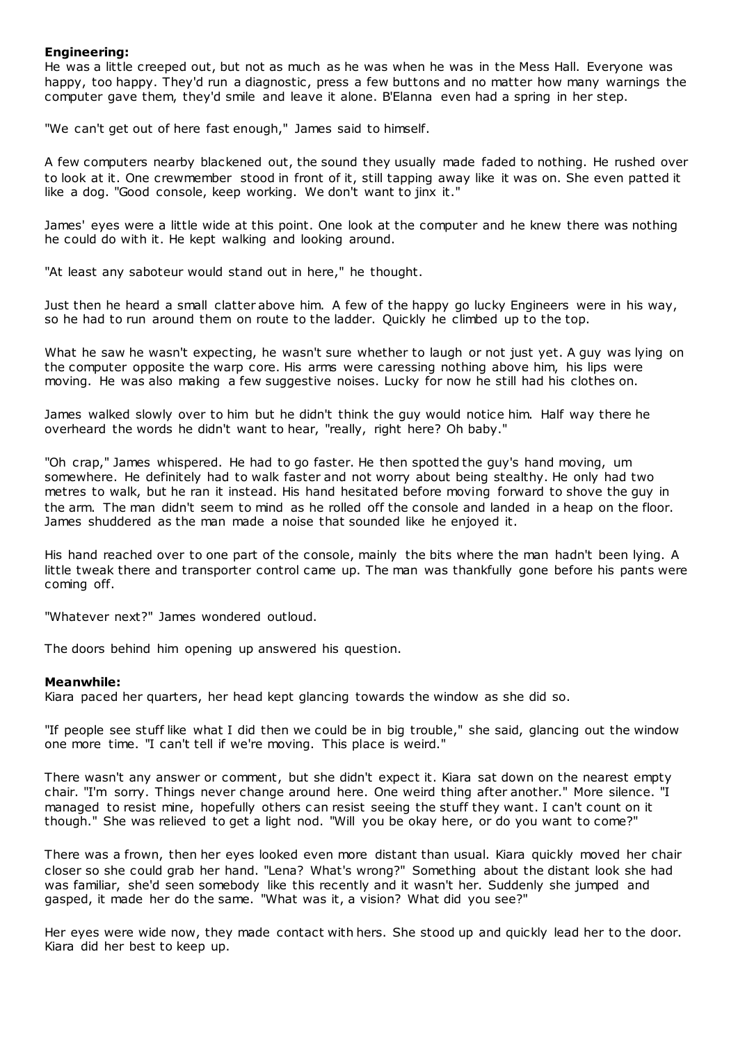# **Engineering:**

He was a little creeped out, but not as much as he was when he was in the Mess Hall. Everyone was happy, too happy. They'd run a diagnostic, press a few buttons and no matter how many warnings the computer gave them, they'd smile and leave it alone. B'Elanna even had a spring in her step.

"We can't get out of here fast enough," James said to himself.

A few computers nearby blackened out, the sound they usually made faded to nothing. He rushed over to look at it. One crewmember stood in front of it, still tapping away like it was on. She even patted it like a dog. "Good console, keep working. We don't want to jinx it."

James' eyes were a little wide at this point. One look at the computer and he knew there was nothing he could do with it. He kept walking and looking around.

"At least any saboteur would stand out in here," he thought.

Just then he heard a small clatter above him. A few of the happy go lucky Engineers were in his way, so he had to run around them on route to the ladder. Quickly he climbed up to the top.

What he saw he wasn't expecting, he wasn't sure whether to laugh or not just yet. A guy was lying on the computer opposite the warp core. His arms were caressing nothing above him, his lips were moving. He was also making a few suggestive noises. Lucky for now he still had his clothes on.

James walked slowly over to him but he didn't think the guy would notice him. Half way there he overheard the words he didn't want to hear, "really, right here? Oh baby."

"Oh crap," James whispered. He had to go faster. He then spotted the guy's hand moving, um somewhere. He definitely had to walk faster and not worry about being stealthy. He only had two metres to walk, but he ran it instead. His hand hesitated before moving forward to shove the guy in the arm. The man didn't seem to mind as he rolled off the console and landed in a heap on the floor. James shuddered as the man made a noise that sounded like he enjoyed it.

His hand reached over to one part of the console, mainly the bits where the man hadn't been lying. A little tweak there and transporter control came up. The man was thankfully gone before his pants were coming off.

"Whatever next?" James wondered outloud.

The doors behind him opening up answered his question.

# **Meanwhile:**

Kiara paced her quarters, her head kept glancing towards the window as she did so.

"If people see stuff like what I did then we could be in big trouble," she said, glancing out the window one more time. "I can't tell if we're moving. This place is weird."

There wasn't any answer or comment, but she didn't expect it. Kiara sat down on the nearest empty chair. "I'm sorry. Things never change around here. One weird thing after another." More silence. "I managed to resist mine, hopefully others can resist seeing the stuff they want. I can't count on it though." She was relieved to get a light nod. "Will you be okay here, or do you want to come?"

There was a frown, then her eyes looked even more distant than usual. Kiara quickly moved her chair closer so she could grab her hand. "Lena? What's wrong?" Something about the distant look she had was familiar, she'd seen somebody like this recently and it wasn't her. Suddenly she jumped and gasped, it made her do the same. "What was it, a vision? What did you see?"

Her eyes were wide now, they made contact with hers. She stood up and quickly lead her to the door. Kiara did her best to keep up.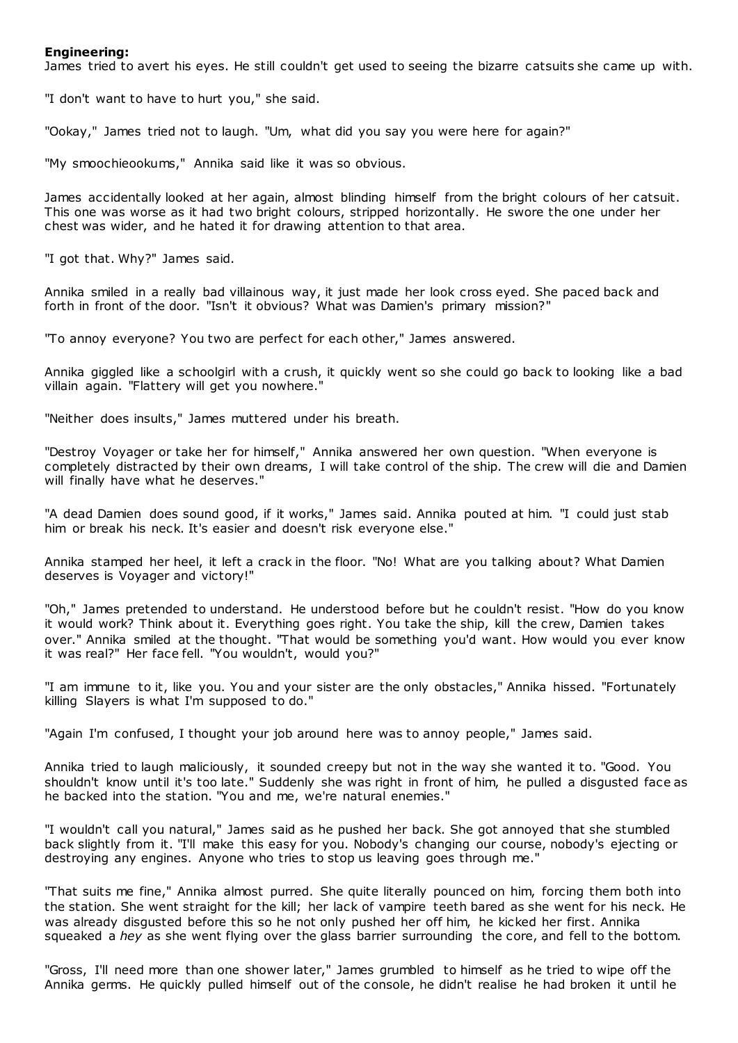# **Engineering:**

James tried to avert his eyes. He still couldn't get used to seeing the bizarre catsuits she came up with.

"I don't want to have to hurt you," she said.

"Ookay," James tried not to laugh. "Um, what did you say you were here for again?"

"My smoochieookums," Annika said like it was so obvious.

James accidentally looked at her again, almost blinding himself from the bright colours of her catsuit. This one was worse as it had two bright colours, stripped horizontally. He swore the one under her chest was wider, and he hated it for drawing attention to that area.

"I got that. Why?" James said.

Annika smiled in a really bad villainous way, it just made her look cross eyed. She paced back and forth in front of the door. "Isn't it obvious? What was Damien's primary mission?"

"To annoy everyone? You two are perfect for each other," James answered.

Annika giggled like a schoolgirl with a crush, it quickly went so she could go back to looking like a bad villain again. "Flattery will get you nowhere."

"Neither does insults," James muttered under his breath.

"Destroy Voyager or take her for himself," Annika answered her own question. "When everyone is completely distracted by their own dreams, I will take control of the ship. The crew will die and Damien will finally have what he deserves."

"A dead Damien does sound good, if it works," James said. Annika pouted at him. "I could just stab him or break his neck. It's easier and doesn't risk everyone else."

Annika stamped her heel, it left a crack in the floor. "No! What are you talking about? What Damien deserves is Voyager and victory!"

"Oh," James pretended to understand. He understood before but he couldn't resist. "How do you know it would work? Think about it. Everything goes right. You take the ship, kill the crew, Damien takes over." Annika smiled at the thought. "That would be something you'd want. How would you ever know it was real?" Her face fell. "You wouldn't, would you?"

"I am immune to it, like you. You and your sister are the only obstacles," Annika hissed. "Fortunately killing Slayers is what I'm supposed to do."

"Again I'm confused, I thought your job around here was to annoy people," James said.

Annika tried to laugh maliciously, it sounded creepy but not in the way she wanted it to. "Good. You shouldn't know until it's too late." Suddenly she was right in front of him, he pulled a disgusted face as he backed into the station. "You and me, we're natural enemies."

"I wouldn't call you natural," James said as he pushed her back. She got annoyed that she stumbled back slightly from it. "I'll make this easy for you. Nobody's changing our course, nobody's ejecting or destroying any engines. Anyone who tries to stop us leaving goes through me."

"That suits me fine," Annika almost purred. She quite literally pounced on him, forcing them both into the station. She went straight for the kill; her lack of vampire teeth bared as she went for his neck. He was already disgusted before this so he not only pushed her off him, he kicked her first. Annika squeaked a *hey* as she went flying over the glass barrier surrounding the core, and fell to the bottom.

"Gross, I'll need more than one shower later," James grumbled to himself as he tried to wipe off the Annika germs. He quickly pulled himself out of the console, he didn't realise he had broken it until he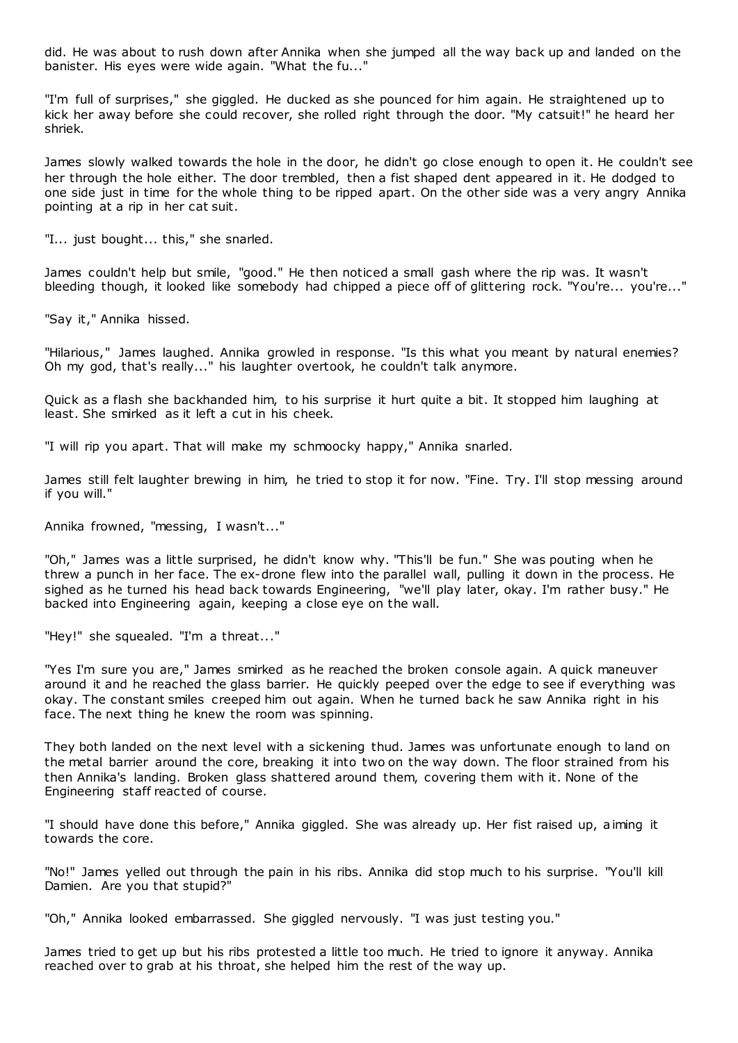did. He was about to rush down after Annika when she jumped all the way back up and landed on the banister. His eyes were wide again. "What the fu..."

"I'm full of surprises," she giggled. He ducked as she pounced for him again. He straightened up to kick her away before she could recover, she rolled right through the door. "My catsuit!" he heard her shriek.

James slowly walked towards the hole in the door, he didn't go close enough to open it. He couldn't see her through the hole either. The door trembled, then a fist shaped dent appeared in it. He dodged to one side just in time for the whole thing to be ripped apart. On the other side was a very angry Annika pointing at a rip in her cat suit.

"I... just bought... this," she snarled.

James couldn't help but smile, "good." He then noticed a small gash where the rip was. It wasn't bleeding though, it looked like somebody had chipped a piece off of glittering rock. "You're... you're..."

"Say it," Annika hissed.

"Hilarious," James laughed. Annika growled in response. "Is this what you meant by natural enemies? Oh my god, that's really..." his laughter overtook, he couldn't talk anymore.

Quick as a flash she backhanded him, to his surprise it hurt quite a bit. It stopped him laughing at least. She smirked as it left a cut in his cheek.

"I will rip you apart. That will make my schmoocky happy," Annika snarled.

James still felt laughter brewing in him, he tried to stop it for now. "Fine. Try. I'll stop messing around if you will."

Annika frowned, "messing, I wasn't..."

"Oh," James was a little surprised, he didn't know why. "This'll be fun." She was pouting when he threw a punch in her face. The ex-drone flew into the parallel wall, pulling it down in the process. He sighed as he turned his head back towards Engineering, "we'll play later, okay. I'm rather busy." He backed into Engineering again, keeping a close eye on the wall.

"Hey!" she squealed. "I'm a threat..."

"Yes I'm sure you are," James smirked as he reached the broken console again. A quick maneuver around it and he reached the glass barrier. He quickly peeped over the edge to see if everything was okay. The constant smiles creeped him out again. When he turned back he saw Annika right in his face. The next thing he knew the room was spinning.

They both landed on the next level with a sickening thud. James was unfortunate enough to land on the metal barrier around the core, breaking it into two on the way down. The floor strained from his then Annika's landing. Broken glass shattered around them, covering them with it. None of the Engineering staff reacted of course.

"I should have done this before," Annika giggled. She was already up. Her fist raised up, aiming it towards the core.

"No!" James yelled out through the pain in his ribs. Annika did stop much to his surprise. "You'll kill Damien. Are you that stupid?"

"Oh," Annika looked embarrassed. She giggled nervously. "I was just testing you."

James tried to get up but his ribs protested a little too much. He tried to ignore it anyway. Annika reached over to grab at his throat, she helped him the rest of the way up.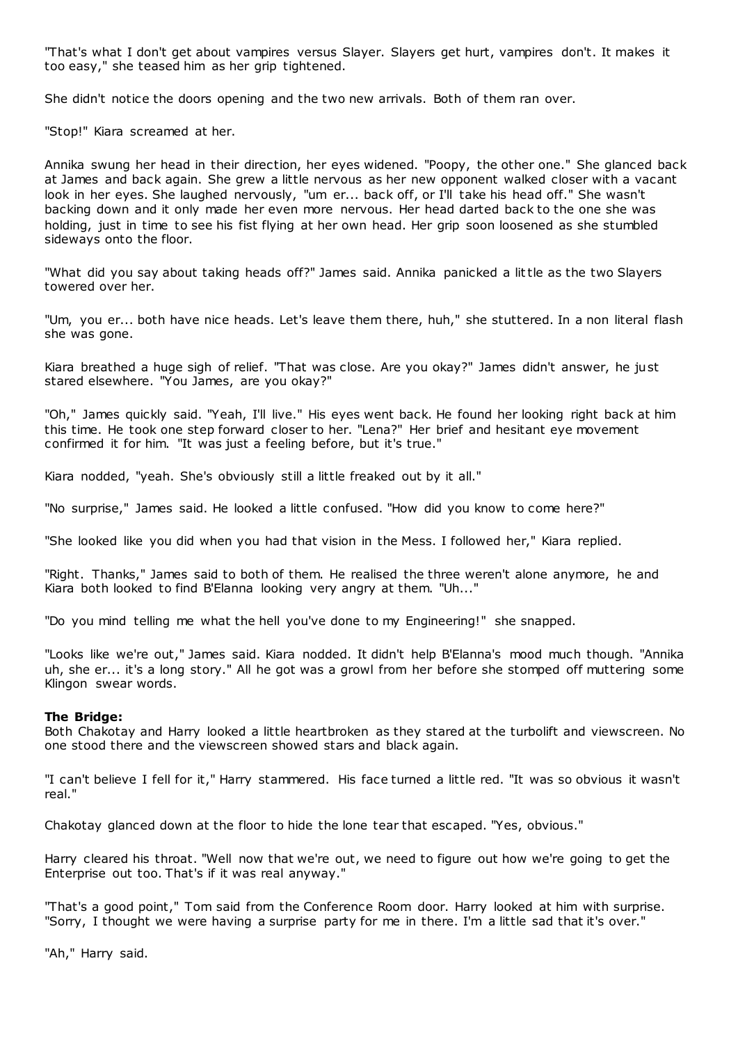"That's what I don't get about vampires versus Slayer. Slayers get hurt, vampires don't. It makes it too easy," she teased him as her grip tightened.

She didn't notice the doors opening and the two new arrivals. Both of them ran over.

"Stop!" Kiara screamed at her.

Annika swung her head in their direction, her eyes widened. "Poopy, the other one." She glanced back at James and back again. She grew a little nervous as her new opponent walked closer with a vacant look in her eyes. She laughed nervously, "um er... back off, or I'll take his head off." She wasn't backing down and it only made her even more nervous. Her head darted back to the one she was holding, just in time to see his fist flying at her own head. Her grip soon loosened as she stumbled sideways onto the floor.

"What did you say about taking heads off?" James said. Annika panicked a little as the two Slayers towered over her.

"Um, you er... both have nice heads. Let's leave them there, huh," she stuttered. In a non literal flash she was gone.

Kiara breathed a huge sigh of relief. "That was close. Are you okay?" James didn't answer, he just stared elsewhere. "You James, are you okay?"

"Oh," James quickly said. "Yeah, I'll live." His eyes went back. He found her looking right back at him this time. He took one step forward closer to her. "Lena?" Her brief and hesitant eye movement confirmed it for him. "It was just a feeling before, but it's true."

Kiara nodded, "yeah. She's obviously still a little freaked out by it all."

"No surprise," James said. He looked a little confused. "How did you know to come here?"

"She looked like you did when you had that vision in the Mess. I followed her," Kiara replied.

"Right. Thanks," James said to both of them. He realised the three weren't alone anymore, he and Kiara both looked to find B'Elanna looking very angry at them. "Uh..."

"Do you mind telling me what the hell you've done to my Engineering!" she snapped.

"Looks like we're out," James said. Kiara nodded. It didn't help B'Elanna's mood much though. "Annika uh, she er... it's a long story." All he got was a growl from her before she stomped off muttering some Klingon swear words.

# **The Bridge:**

Both Chakotay and Harry looked a little heartbroken as they stared at the turbolift and viewscreen. No one stood there and the viewscreen showed stars and black again.

"I can't believe I fell for it," Harry stammered. His face turned a little red. "It was so obvious it wasn't real."

Chakotay glanced down at the floor to hide the lone tear that escaped. "Yes, obvious."

Harry cleared his throat. "Well now that we're out, we need to figure out how we're going to get the Enterprise out too. That's if it was real anyway."

"That's a good point," Tom said from the Conference Room door. Harry looked at him with surprise. "Sorry, I thought we were having a surprise party for me in there. I'm a little sad that it's over."

"Ah," Harry said.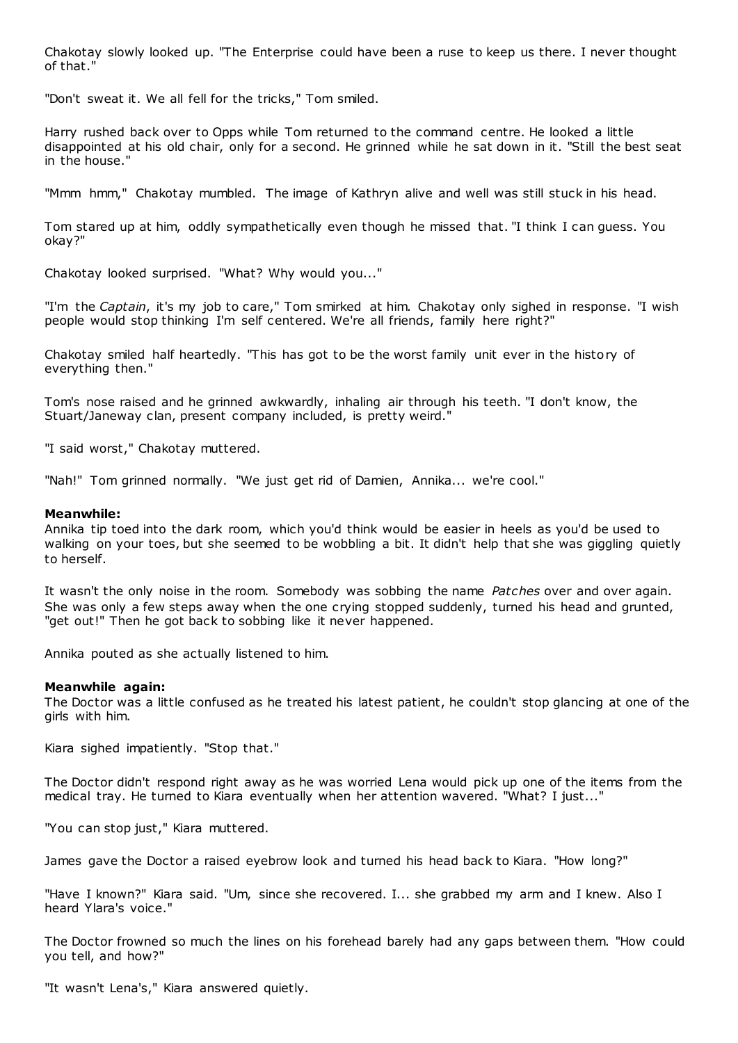Chakotay slowly looked up. "The Enterprise could have been a ruse to keep us there. I never thought of that."

"Don't sweat it. We all fell for the tricks," Tom smiled.

Harry rushed back over to Opps while Tom returned to the command centre. He looked a little disappointed at his old chair, only for a second. He grinned while he sat down in it. "Still the best seat in the house."

"Mmm hmm," Chakotay mumbled. The image of Kathryn alive and well was still stuck in his head.

Tom stared up at him, oddly sympathetically even though he missed that. "I think I can guess. You okay?"

Chakotay looked surprised. "What? Why would you..."

"I'm the *Captain*, it's my job to care," Tom smirked at him. Chakotay only sighed in response. "I wish people would stop thinking I'm self centered. We're all friends, family here right?"

Chakotay smiled half heartedly. "This has got to be the worst family unit ever in the history of everything then."

Tom's nose raised and he grinned awkwardly, inhaling air through his teeth. "I don't know, the Stuart/Janeway clan, present company included, is pretty weird."

"I said worst," Chakotay muttered.

"Nah!" Tom grinned normally. "We just get rid of Damien, Annika... we're cool."

# **Meanwhile:**

Annika tip toed into the dark room, which you'd think would be easier in heels as you'd be used to walking on your toes, but she seemed to be wobbling a bit. It didn't help that she was giggling quietly to herself.

It wasn't the only noise in the room. Somebody was sobbing the name *Patches* over and over again. She was only a few steps away when the one crying stopped suddenly, turned his head and grunted, "get out!" Then he got back to sobbing like it never happened.

Annika pouted as she actually listened to him.

# **Meanwhile again:**

The Doctor was a little confused as he treated his latest patient, he couldn't stop glancing at one of the girls with him.

Kiara sighed impatiently. "Stop that."

The Doctor didn't respond right away as he was worried Lena would pick up one of the items from the medical tray. He turned to Kiara eventually when her attention wavered. "What? I just..."

"You can stop just," Kiara muttered.

James gave the Doctor a raised eyebrow look and turned his head back to Kiara. "How long?"

"Have I known?" Kiara said. "Um, since she recovered. I... she grabbed my arm and I knew. Also I heard Ylara's voice."

The Doctor frowned so much the lines on his forehead barely had any gaps between them. "How could you tell, and how?"

"It wasn't Lena's," Kiara answered quietly.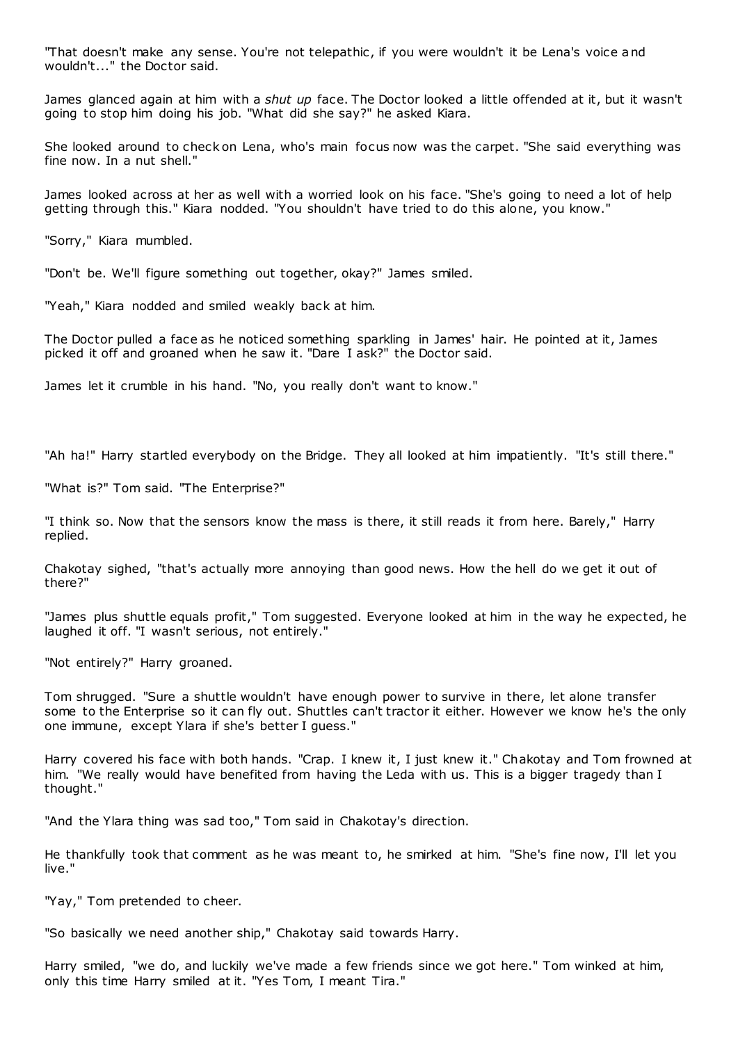"That doesn't make any sense. You're not telepathic , if you were wouldn't it be Lena's voice and wouldn't..." the Doctor said.

James glanced again at him with a *shut up* face. The Doctor looked a little offended at it, but it wasn't going to stop him doing his job. "What did she say?" he asked Kiara.

She looked around to check on Lena, who's main focus now was the carpet. "She said everything was fine now. In a nut shell."

James looked across at her as well with a worried look on his face. "She's going to need a lot of help getting through this." Kiara nodded. "You shouldn't have tried to do this alone, you know."

"Sorry," Kiara mumbled.

"Don't be. We'll figure something out together, okay?" James smiled.

"Yeah," Kiara nodded and smiled weakly back at him.

The Doctor pulled a face as he noticed something sparkling in James' hair. He pointed at it, James picked it off and groaned when he saw it. "Dare I ask?" the Doctor said.

James let it crumble in his hand. "No, you really don't want to know."

"Ah ha!" Harry startled everybody on the Bridge. They all looked at him impatiently. "It's still there."

"What is?" Tom said. "The Enterprise?"

"I think so. Now that the sensors know the mass is there, it still reads it from here. Barely," Harry replied.

Chakotay sighed, "that's actually more annoying than good news. How the hell do we get it out of there?"

"James plus shuttle equals profit," Tom suggested. Everyone looked at him in the way he expected, he laughed it off. "I wasn't serious, not entirely."

"Not entirely?" Harry groaned.

Tom shrugged. "Sure a shuttle wouldn't have enough power to survive in there, let alone transfer some to the Enterprise so it can fly out. Shuttles can't tractor it either. However we know he's the only one immune, except Ylara if she's better I guess."

Harry covered his face with both hands. "Crap. I knew it, I just knew it." Chakotay and Tom frowned at him. "We really would have benefited from having the Leda with us. This is a bigger tragedy than I thought."

"And the Ylara thing was sad too," Tom said in Chakotay's direction.

He thankfully took that comment as he was meant to, he smirked at him. "She's fine now, I'll let you live."

"Yay," Tom pretended to cheer.

"So basically we need another ship," Chakotay said towards Harry.

Harry smiled, "we do, and luckily we've made a few friends since we got here." Tom winked at him, only this time Harry smiled at it. "Yes Tom, I meant Tira."